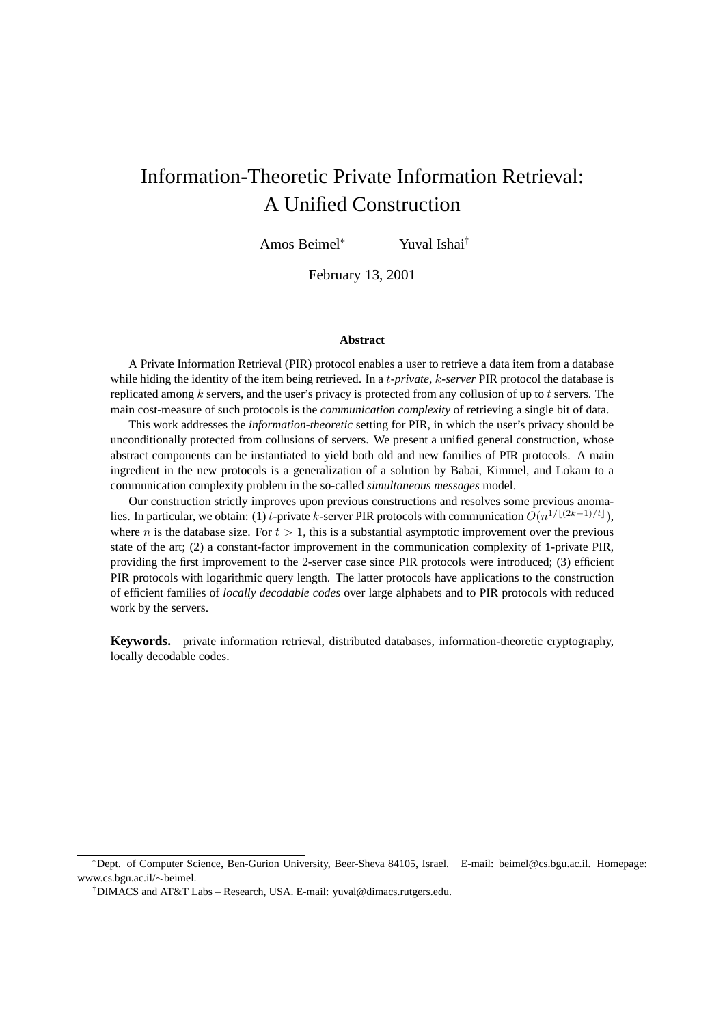# Information-Theoretic Private Information Retrieval: A Unified Construction

Amos Beimel<sup>∗</sup> Yuval Ishai†

February 13, 2001

#### **Abstract**

A Private Information Retrieval (PIR) protocol enables a user to retrieve a data item from a database while hiding the identity of the item being retrieved. In a t*-private*, k*-server* PIR protocol the database is replicated among  $k$  servers, and the user's privacy is protected from any collusion of up to  $t$  servers. The main cost-measure of such protocols is the *communication complexity* of retrieving a single bit of data.

This work addresses the *information-theoretic* setting for PIR, in which the user's privacy should be unconditionally protected from collusions of servers. We present a unified general construction, whose abstract components can be instantiated to yield both old and new families of PIR protocols. A main ingredient in the new protocols is a generalization of a solution by Babai, Kimmel, and Lokam to a communication complexity problem in the so-called *simultaneous messages* model.

Our construction strictly improves upon previous constructions and resolves some previous anomalies. In particular, we obtain: (1) t-private k-server PIR protocols with communication  $O(n^{1/[(2k-1)/t]})$ , where n is the database size. For  $t > 1$ , this is a substantial asymptotic improvement over the previous state of the art; (2) a constant-factor improvement in the communication complexity of 1-private PIR, providing the first improvement to the 2-server case since PIR protocols were introduced; (3) efficient PIR protocols with logarithmic query length. The latter protocols have applications to the construction of efficient families of *locally decodable codes* over large alphabets and to PIR protocols with reduced work by the servers.

**Keywords.** private information retrieval, distributed databases, information-theoretic cryptography, locally decodable codes.

<sup>∗</sup>Dept. of Computer Science, Ben-Gurion University, Beer-Sheva 84105, Israel. E-mail: beimel@cs.bgu.ac.il. Homepage: www.cs.bgu.ac.il/∼beimel.

<sup>†</sup>DIMACS and AT&T Labs – Research, USA. E-mail: yuval@dimacs.rutgers.edu.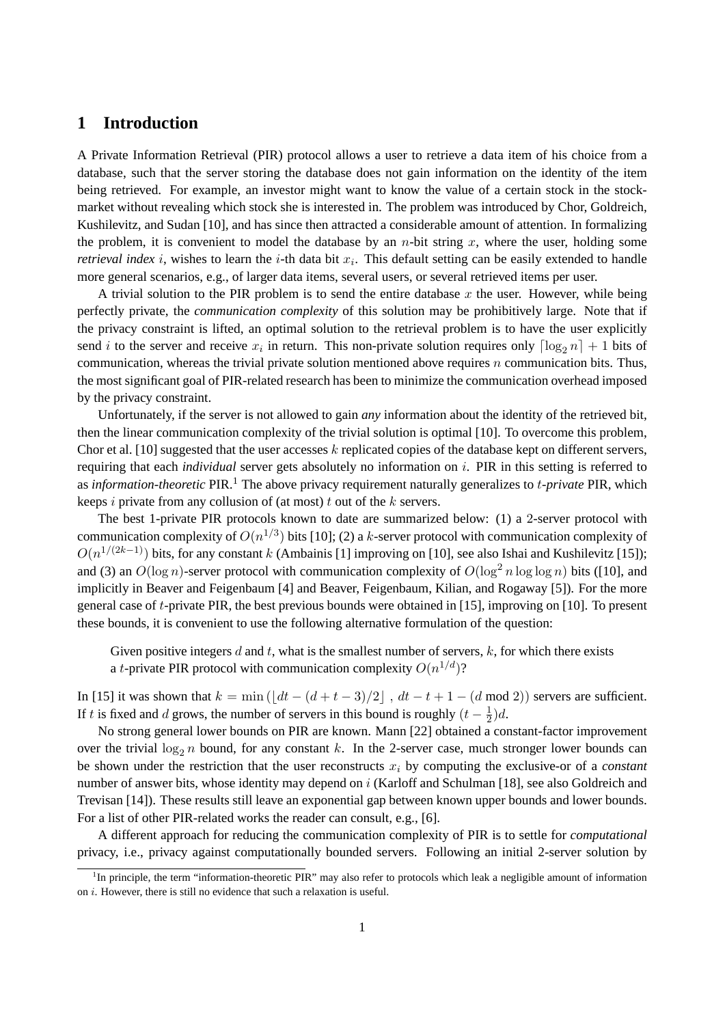# **1 Introduction**

A Private Information Retrieval (PIR) protocol allows a user to retrieve a data item of his choice from a database, such that the server storing the database does not gain information on the identity of the item being retrieved. For example, an investor might want to know the value of a certain stock in the stockmarket without revealing which stock she is interested in. The problem was introduced by Chor, Goldreich, Kushilevitz, and Sudan [10], and has since then attracted a considerable amount of attention. In formalizing the problem, it is convenient to model the database by an *n*-bit string x, where the user, holding some *retrieval index i*, wishes to learn the *i*-th data bit  $x_i$ . This default setting can be easily extended to handle more general scenarios, e.g., of larger data items, several users, or several retrieved items per user.

A trivial solution to the PIR problem is to send the entire database  $x$  the user. However, while being perfectly private, the *communication complexity* of this solution may be prohibitively large. Note that if the privacy constraint is lifted, an optimal solution to the retrieval problem is to have the user explicitly send *i* to the server and receive  $x_i$  in return. This non-private solution requires only  $\lceil \log_2 n \rceil + 1$  bits of communication, whereas the trivial private solution mentioned above requires n communication bits. Thus, the most significant goal of PIR-related research has been to minimize the communication overhead imposed by the privacy constraint.

Unfortunately, if the server is not allowed to gain *any* information about the identity of the retrieved bit, then the linear communication complexity of the trivial solution is optimal [10]. To overcome this problem, Chor et al. [10] suggested that the user accesses k replicated copies of the database kept on different servers, requiring that each *individual* server gets absolutely no information on i. PIR in this setting is referred to as *information-theoretic* PIR.<sup>1</sup> The above privacy requirement naturally generalizes to t*-private* PIR, which keeps i private from any collusion of (at most) t out of the  $k$  servers.

The best 1-private PIR protocols known to date are summarized below: (1) a 2-server protocol with communication complexity of  $O(n^{1/3})$  bits [10]; (2) a k-server protocol with communication complexity of  $O(n^{1/(2k-1)})$  bits, for any constant k (Ambainis [1] improving on [10], see also Ishai and Kushilevitz [15]); and (3) an  $O(\log n)$ -server protocol with communication complexity of  $O(\log^2 n \log \log n)$  bits ([10], and implicitly in Beaver and Feigenbaum [4] and Beaver, Feigenbaum, Kilian, and Rogaway [5]). For the more general case of t-private PIR, the best previous bounds were obtained in [15], improving on [10]. To present these bounds, it is convenient to use the following alternative formulation of the question:

Given positive integers  $d$  and  $t$ , what is the smallest number of servers,  $k$ , for which there exists a *t*-private PIR protocol with communication complexity  $O(n^{1/d})$ ?

In [15] it was shown that  $k = \min \left( \lfloor dt - (d + t - 3)/2 \rfloor \right)$ ,  $dt - t + 1 - (d \mod 2)$  servers are sufficient. If t is fixed and d grows, the number of servers in this bound is roughly  $(t - \frac{1}{2})$  $(\frac{1}{2})d$ .

No strong general lower bounds on PIR are known. Mann [22] obtained a constant-factor improvement over the trivial  $\log_2 n$  bound, for any constant k. In the 2-server case, much stronger lower bounds can be shown under the restriction that the user reconstructs  $x_i$  by computing the exclusive-or of a *constant* number of answer bits, whose identity may depend on i (Karloff and Schulman [18], see also Goldreich and Trevisan [14]). These results still leave an exponential gap between known upper bounds and lower bounds. For a list of other PIR-related works the reader can consult, e.g., [6].

A different approach for reducing the communication complexity of PIR is to settle for *computational* privacy, i.e., privacy against computationally bounded servers. Following an initial 2-server solution by

<sup>&</sup>lt;sup>1</sup>In principle, the term "information-theoretic PIR" may also refer to protocols which leak a negligible amount of information on  $i$ . However, there is still no evidence that such a relaxation is useful.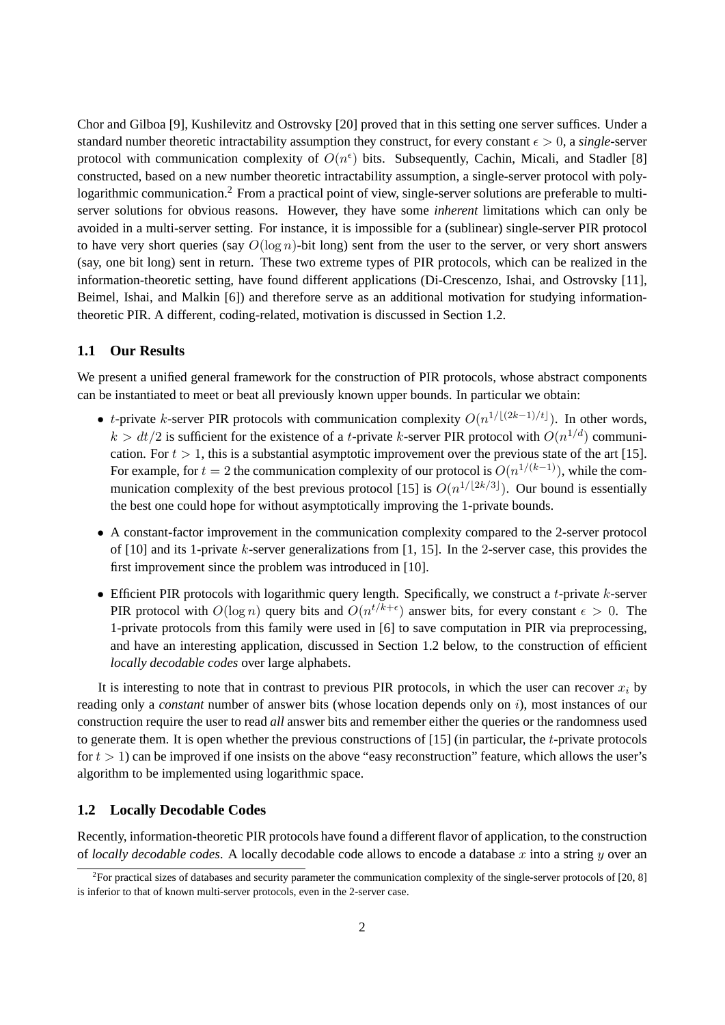Chor and Gilboa [9], Kushilevitz and Ostrovsky [20] proved that in this setting one server suffices. Under a standard number theoretic intractability assumption they construct, for every constant  $\epsilon > 0$ , a *single*-server protocol with communication complexity of  $O(n^{\epsilon})$  bits. Subsequently, Cachin, Micali, and Stadler [8] constructed, based on a new number theoretic intractability assumption, a single-server protocol with polylogarithmic communication.<sup>2</sup> From a practical point of view, single-server solutions are preferable to multiserver solutions for obvious reasons. However, they have some *inherent* limitations which can only be avoided in a multi-server setting. For instance, it is impossible for a (sublinear) single-server PIR protocol to have very short queries (say  $O(\log n)$ -bit long) sent from the user to the server, or very short answers (say, one bit long) sent in return. These two extreme types of PIR protocols, which can be realized in the information-theoretic setting, have found different applications (Di-Crescenzo, Ishai, and Ostrovsky [11], Beimel, Ishai, and Malkin [6]) and therefore serve as an additional motivation for studying informationtheoretic PIR. A different, coding-related, motivation is discussed in Section 1.2.

## **1.1 Our Results**

We present a unified general framework for the construction of PIR protocols, whose abstract components can be instantiated to meet or beat all previously known upper bounds. In particular we obtain:

- t-private k-server PIR protocols with communication complexity  $O(n^{1/\lfloor (2k-1)/t \rfloor})$ . In other words,  $k > dt/2$  is sufficient for the existence of a *t*-private *k*-server PIR protocol with  $O(n^{1/d})$  communication. For  $t > 1$ , this is a substantial asymptotic improvement over the previous state of the art [15]. For example, for  $t = 2$  the communication complexity of our protocol is  $O(n^{1/(k-1)})$ , while the communication complexity of the best previous protocol [15] is  $O(n^{1/[2k/3]})$ . Our bound is essentially the best one could hope for without asymptotically improving the 1-private bounds.
- A constant-factor improvement in the communication complexity compared to the 2-server protocol of  $[10]$  and its 1-private k-server generalizations from  $[1, 15]$ . In the 2-server case, this provides the first improvement since the problem was introduced in [10].
- Efficient PIR protocols with logarithmic query length. Specifically, we construct a t-private  $k$ -server PIR protocol with  $O(\log n)$  query bits and  $O(n^{t/k+\epsilon})$  answer bits, for every constant  $\epsilon > 0$ . The 1-private protocols from this family were used in [6] to save computation in PIR via preprocessing, and have an interesting application, discussed in Section 1.2 below, to the construction of efficient *locally decodable codes* over large alphabets.

It is interesting to note that in contrast to previous PIR protocols, in which the user can recover  $x_i$  by reading only a *constant* number of answer bits (whose location depends only on i), most instances of our construction require the user to read *all* answer bits and remember either the queries or the randomness used to generate them. It is open whether the previous constructions of  $[15]$  (in particular, the t-private protocols for  $t > 1$ ) can be improved if one insists on the above "easy reconstruction" feature, which allows the user's algorithm to be implemented using logarithmic space.

## **1.2 Locally Decodable Codes**

Recently, information-theoretic PIR protocols have found a different flavor of application, to the construction of *locally decodable codes*. A locally decodable code allows to encode a database x into a string  $y$  over an

<sup>&</sup>lt;sup>2</sup> For practical sizes of databases and security parameter the communication complexity of the single-server protocols of [20, 8] is inferior to that of known multi-server protocols, even in the 2-server case.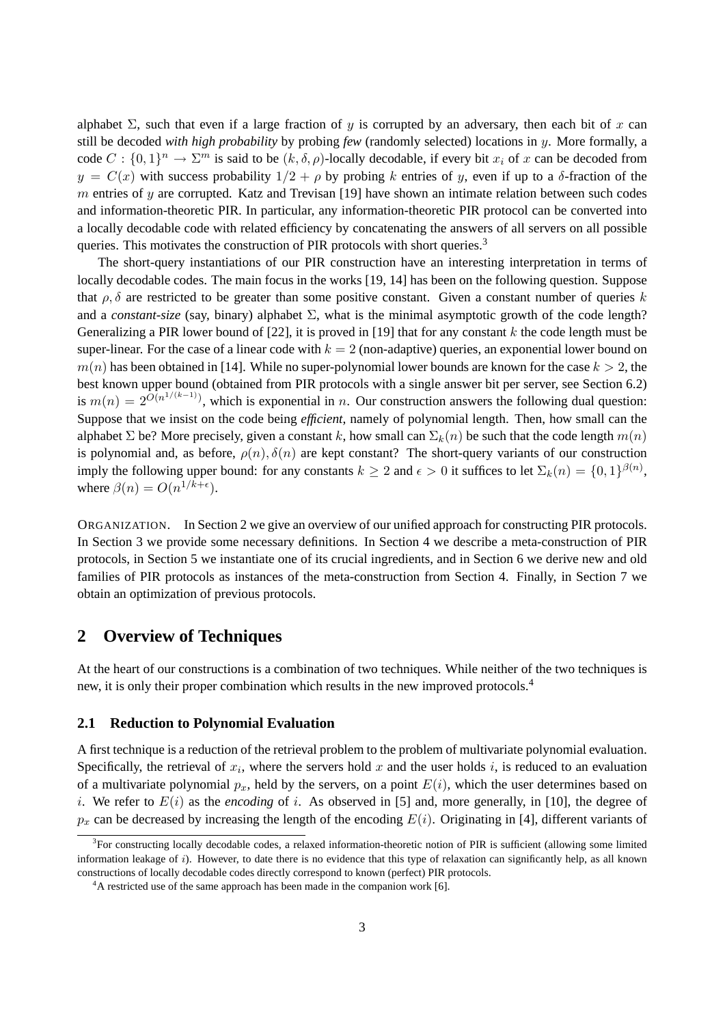alphabet  $\Sigma$ , such that even if a large fraction of y is corrupted by an adversary, then each bit of x can still be decoded *with high probability* by probing *few* (randomly selected) locations in y. More formally, a code  $C: \{0,1\}^n \to \Sigma^m$  is said to be  $(k, \delta, \rho)$ -locally decodable, if every bit  $x_i$  of x can be decoded from  $y = C(x)$  with success probability  $1/2 + \rho$  by probing k entries of y, even if up to a  $\delta$ -fraction of the m entries of  $\gamma$  are corrupted. Katz and Trevisan [19] have shown an intimate relation between such codes and information-theoretic PIR. In particular, any information-theoretic PIR protocol can be converted into a locally decodable code with related efficiency by concatenating the answers of all servers on all possible queries. This motivates the construction of PIR protocols with short queries.<sup>3</sup>

The short-query instantiations of our PIR construction have an interesting interpretation in terms of locally decodable codes. The main focus in the works [19, 14] has been on the following question. Suppose that  $\rho$ ,  $\delta$  are restricted to be greater than some positive constant. Given a constant number of queries k and a *constant-size* (say, binary) alphabet  $\Sigma$ , what is the minimal asymptotic growth of the code length? Generalizing a PIR lower bound of [22], it is proved in [19] that for any constant  $k$  the code length must be super-linear. For the case of a linear code with  $k = 2$  (non-adaptive) queries, an exponential lower bound on  $m(n)$  has been obtained in [14]. While no super-polynomial lower bounds are known for the case  $k > 2$ , the best known upper bound (obtained from PIR protocols with a single answer bit per server, see Section 6.2) is  $m(n) = 2^{\tilde{O}(n^{1/(k-1)})}$ , which is exponential in n. Our construction answers the following dual question: Suppose that we insist on the code being *efficient*, namely of polynomial length. Then, how small can the alphabet  $\Sigma$  be? More precisely, given a constant k, how small can  $\Sigma_k(n)$  be such that the code length  $m(n)$ is polynomial and, as before,  $\rho(n)$ ,  $\delta(n)$  are kept constant? The short-query variants of our construction imply the following upper bound: for any constants  $k \ge 2$  and  $\epsilon > 0$  it suffices to let  $\Sigma_k(n) = \{0,1\}^{\beta(n)}$ , where  $\beta(n) = O(n^{1/k + \epsilon})$ .

ORGANIZATION. In Section 2 we give an overview of our unified approach for constructing PIR protocols. In Section 3 we provide some necessary definitions. In Section 4 we describe a meta-construction of PIR protocols, in Section 5 we instantiate one of its crucial ingredients, and in Section 6 we derive new and old families of PIR protocols as instances of the meta-construction from Section 4. Finally, in Section 7 we obtain an optimization of previous protocols.

# **2 Overview of Techniques**

At the heart of our constructions is a combination of two techniques. While neither of the two techniques is new, it is only their proper combination which results in the new improved protocols.<sup>4</sup>

### **2.1 Reduction to Polynomial Evaluation**

A first technique is a reduction of the retrieval problem to the problem of multivariate polynomial evaluation. Specifically, the retrieval of  $x_i$ , where the servers hold x and the user holds i, is reduced to an evaluation of a multivariate polynomial  $p_x$ , held by the servers, on a point  $E(i)$ , which the user determines based on i. We refer to  $E(i)$  as the *encoding* of i. As observed in [5] and, more generally, in [10], the degree of  $p_x$  can be decreased by increasing the length of the encoding  $E(i)$ . Originating in [4], different variants of

<sup>&</sup>lt;sup>3</sup>For constructing locally decodable codes, a relaxed information-theoretic notion of PIR is sufficient (allowing some limited information leakage of  $i$ ). However, to date there is no evidence that this type of relaxation can significantly help, as all known constructions of locally decodable codes directly correspond to known (perfect) PIR protocols.

 $4A$  restricted use of the same approach has been made in the companion work [6].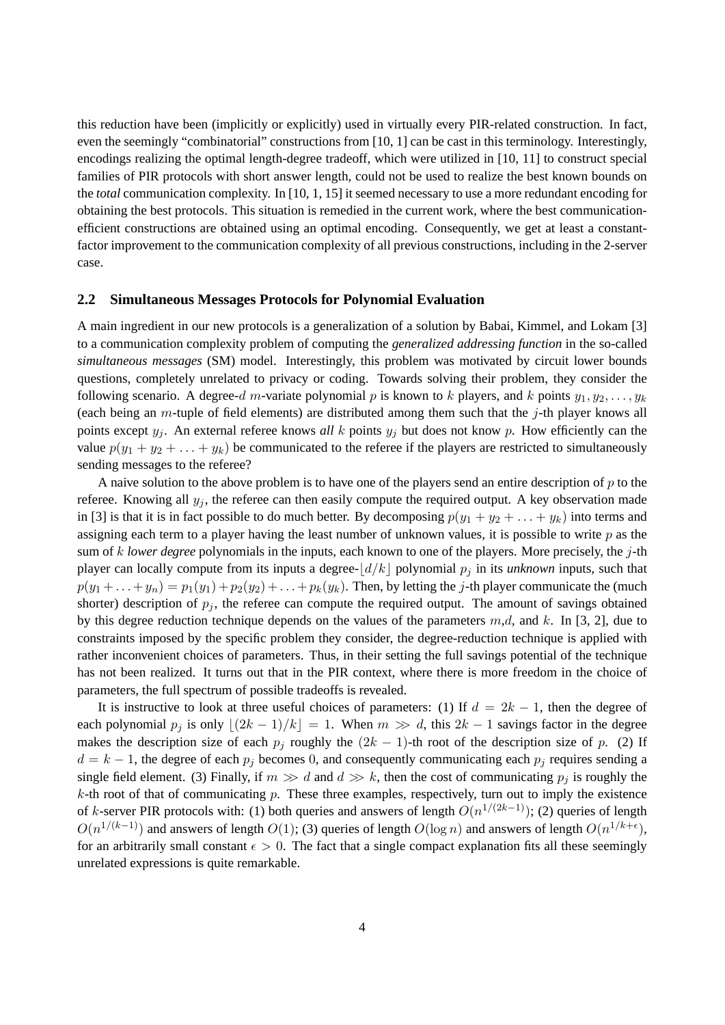this reduction have been (implicitly or explicitly) used in virtually every PIR-related construction. In fact, even the seemingly "combinatorial" constructions from [10, 1] can be cast in this terminology. Interestingly, encodings realizing the optimal length-degree tradeoff, which were utilized in [10, 11] to construct special families of PIR protocols with short answer length, could not be used to realize the best known bounds on the *total* communication complexity. In [10, 1, 15] it seemed necessary to use a more redundant encoding for obtaining the best protocols. This situation is remedied in the current work, where the best communicationefficient constructions are obtained using an optimal encoding. Consequently, we get at least a constantfactor improvement to the communication complexity of all previous constructions, including in the 2-server case.

#### **2.2 Simultaneous Messages Protocols for Polynomial Evaluation**

A main ingredient in our new protocols is a generalization of a solution by Babai, Kimmel, and Lokam [3] to a communication complexity problem of computing the *generalized addressing function* in the so-called *simultaneous messages* (SM) model. Interestingly, this problem was motivated by circuit lower bounds questions, completely unrelated to privacy or coding. Towards solving their problem, they consider the following scenario. A degree-d m-variate polynomial p is known to k players, and k points  $y_1, y_2, \ldots, y_k$ (each being an m-tuple of field elements) are distributed among them such that the j-th player knows all points except  $y_i$ . An external referee knows *all* k points  $y_i$  but does not know p. How efficiently can the value  $p(y_1 + y_2 + \ldots + y_k)$  be communicated to the referee if the players are restricted to simultaneously sending messages to the referee?

A naive solution to the above problem is to have one of the players send an entire description of  $p$  to the referee. Knowing all  $y_i$ , the referee can then easily compute the required output. A key observation made in [3] is that it is in fact possible to do much better. By decomposing  $p(y_1 + y_2 + ... + y_k)$  into terms and assigning each term to a player having the least number of unknown values, it is possible to write  $p$  as the sum of k *lower degree* polynomials in the inputs, each known to one of the players. More precisely, the j-th player can locally compute from its inputs a degree- $\frac{d}{k}$  polynomial  $p_i$  in its *unknown* inputs, such that  $p(y_1 + \ldots + y_n) = p_1(y_1) + p_2(y_2) + \ldots + p_k(y_k)$ . Then, by letting the j-th player communicate the (much shorter) description of  $p_i$ , the referee can compute the required output. The amount of savings obtained by this degree reduction technique depends on the values of the parameters  $m,d$ , and k. In [3, 2], due to constraints imposed by the specific problem they consider, the degree-reduction technique is applied with rather inconvenient choices of parameters. Thus, in their setting the full savings potential of the technique has not been realized. It turns out that in the PIR context, where there is more freedom in the choice of parameters, the full spectrum of possible tradeoffs is revealed.

It is instructive to look at three useful choices of parameters: (1) If  $d = 2k - 1$ , then the degree of each polynomial  $p_i$  is only  $|(2k - 1)/k| = 1$ . When  $m \gg d$ , this  $2k - 1$  savings factor in the degree makes the description size of each  $p_i$  roughly the  $(2k - 1)$ -th root of the description size of p. (2) If  $d = k - 1$ , the degree of each  $p_i$  becomes 0, and consequently communicating each  $p_i$  requires sending a single field element. (3) Finally, if  $m \gg d$  and  $d \gg k$ , then the cost of communicating  $p_i$  is roughly the  $k$ -th root of that of communicating  $p$ . These three examples, respectively, turn out to imply the existence of k-server PIR protocols with: (1) both queries and answers of length  $O(n^{1/(2k-1)})$ ; (2) queries of length  $O(n^{1/(k-1)})$  and answers of length  $O(1)$ ; (3) queries of length  $O(\log n)$  and answers of length  $O(n^{1/k+\epsilon})$ , for an arbitrarily small constant  $\epsilon > 0$ . The fact that a single compact explanation fits all these seemingly unrelated expressions is quite remarkable.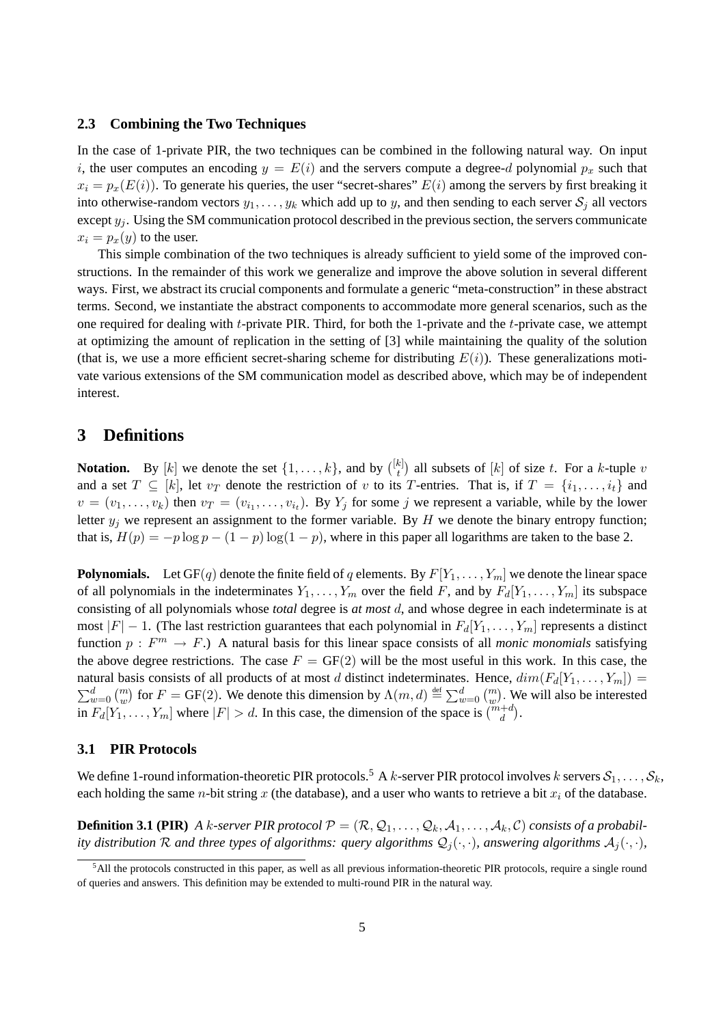#### **2.3 Combining the Two Techniques**

In the case of 1-private PIR, the two techniques can be combined in the following natural way. On input i, the user computes an encoding  $y = E(i)$  and the servers compute a degree-d polynomial  $p_x$  such that  $x_i = p_x(E(i))$ . To generate his queries, the user "secret-shares"  $E(i)$  among the servers by first breaking it into otherwise-random vectors  $y_1, \ldots, y_k$  which add up to y, and then sending to each server  $S_i$  all vectors except  $y_i$ . Using the SM communication protocol described in the previous section, the servers communicate  $x_i = p_x(y)$  to the user.

This simple combination of the two techniques is already sufficient to yield some of the improved constructions. In the remainder of this work we generalize and improve the above solution in several different ways. First, we abstract its crucial components and formulate a generic "meta-construction" in these abstract terms. Second, we instantiate the abstract components to accommodate more general scenarios, such as the one required for dealing with t-private PIR. Third, for both the 1-private and the t-private case, we attempt at optimizing the amount of replication in the setting of [3] while maintaining the quality of the solution (that is, we use a more efficient secret-sharing scheme for distributing  $E(i)$ ). These generalizations motivate various extensions of the SM communication model as described above, which may be of independent interest.

## **3 Definitions**

**Notation.** By [k] we denote the set  $\{1, \ldots, k\}$ , and by  $\binom{[k]}{k}$  $\binom{k}{t}$  all subsets of  $[k]$  of size t. For a k-tuple v and a set  $T \subseteq [k]$ , let  $v_T$  denote the restriction of v to its T-entries. That is, if  $T = \{i_1, \ldots, i_t\}$  and  $v = (v_1, \ldots, v_k)$  then  $v_T = (v_{i_1}, \ldots, v_{i_t})$ . By  $Y_j$  for some j we represent a variable, while by the lower letter  $y_j$  we represent an assignment to the former variable. By H we denote the binary entropy function; that is,  $H(p) = -p \log p - (1 - p) \log(1 - p)$ , where in this paper all logarithms are taken to the base 2.

**Polynomials.** Let  $GF(q)$  denote the finite field of q elements. By  $F[Y_1, \ldots, Y_m]$  we denote the linear space of all polynomials in the indeterminates  $Y_1, \ldots, Y_m$  over the field F, and by  $F_d[Y_1, \ldots, Y_m]$  its subspace consisting of all polynomials whose *total* degree is *at most* d, and whose degree in each indeterminate is at most  $|F| - 1$ . (The last restriction guarantees that each polynomial in  $F_d[Y_1, \ldots, Y_m]$  represents a distinct function  $p : F<sup>m</sup> \to F$ .) A natural basis for this linear space consists of all *monic monomials* satisfying the above degree restrictions. The case  $F = GF(2)$  will be the most useful in this work. In this case, the natural basis consists of all products of at most d distinct indeterminates. Hence,  $dim(F_d[Y_1, \ldots, Y_m]) =$  $\sum_{w=0}^{d} \binom{m}{w}$  for  $F = \text{GF}(2)$ . We denote this dimension by  $\Lambda(m, d) \triangleq \sum_{w=0}^{d} \binom{m}{w}$ . We will also be interested in  $F_d[Y_1, \ldots, Y_m]$  where  $|F| > d$ . In this case, the dimension of the space is  $\binom{m+d}{d}$ .

### **3.1 PIR Protocols**

We define 1-round information-theoretic PIR protocols.<sup>5</sup> A k-server PIR protocol involves k servers  $S_1, \ldots, S_k$ , each holding the same *n*-bit string x (the database), and a user who wants to retrieve a bit  $x_i$  of the database.

**Definition 3.1 (PIR)** *A k-server PIR protocol*  $P = (\mathcal{R}, Q_1, \ldots, Q_k, A_1, \ldots, A_k, C)$  *consists of a probability distribution* R and three types of algorithms: query algorithms  $Q_j(\cdot, \cdot)$ , answering algorithms  $A_j(\cdot, \cdot)$ ,

<sup>5</sup>All the protocols constructed in this paper, as well as all previous information-theoretic PIR protocols, require a single round of queries and answers. This definition may be extended to multi-round PIR in the natural way.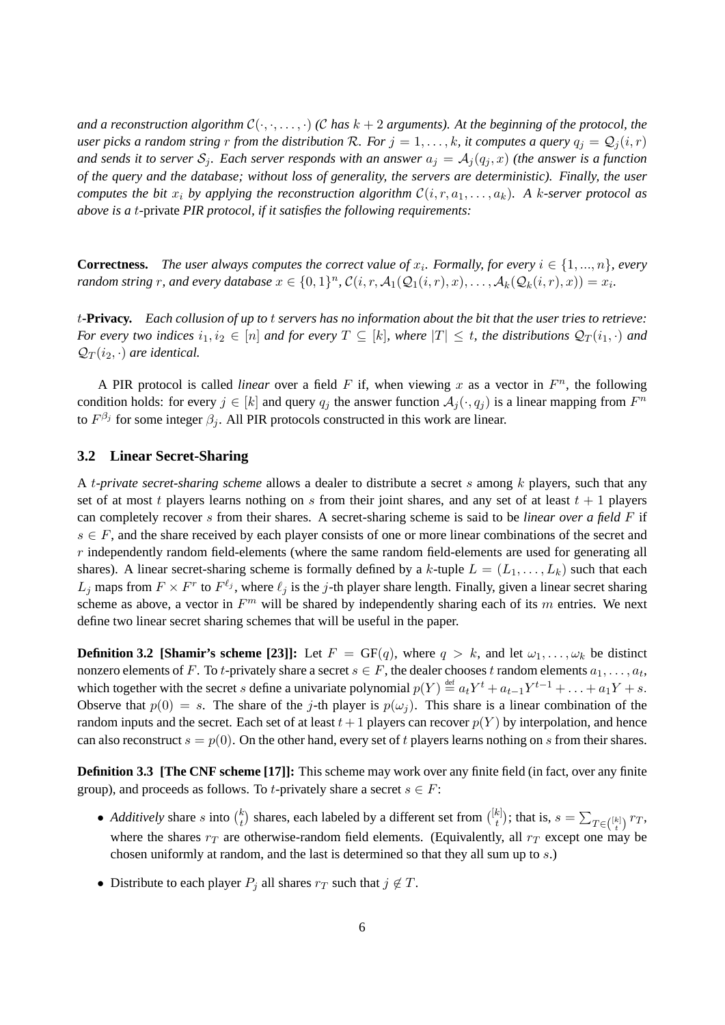*and a reconstruction algorithm*  $C(\cdot, \cdot, \ldots, \cdot)$  *(C has k + 2 arguments). At the beginning of the protocol, the user picks a random string* r *from the distribution* R. For  $j = 1, ..., k$ , it computes a query  $q_j = Q_j(i, r)$ and sends it to server  $S_i$ . Each server responds with an answer  $a_j = A_j(q_j, x)$  (the answer is a function *of the query and the database; without loss of generality, the servers are deterministic). Finally, the user computes the bit*  $x_i$  *by applying the reconstruction algorithm*  $\mathcal{C}(i, r, a_1, \ldots, a_k)$ *. A k-server protocol as above is a* t-private *PIR protocol, if it satisfies the following requirements:*

**Correctness.** The user always computes the correct value of  $x_i$ . Formally, for every  $i \in \{1, ..., n\}$ , every *random string*  $r$ , and every database  $x \in \{0,1\}^n$ ,  $\mathcal{C}(i, r, \mathcal{A}_1(\mathcal{Q}_1(i, r), x), \ldots, \mathcal{A}_k(\mathcal{Q}_k(i, r), x)) = x_i$ .

t**-Privacy.** *Each collusion of up to* t *servers has no information about the bit that the user tries to retrieve: For every two indices*  $i_1, i_2 \in [n]$  *and for every*  $T \subseteq [k]$ *, where*  $|T| \leq t$ *, the distributions*  $\mathcal{Q}_T(i_1, \cdot)$  *and*  $\mathcal{Q}_T(i_2, \cdot)$  *are identical.* 

A PIR protocol is called *linear* over a field  $F$  if, when viewing  $x$  as a vector in  $F<sup>n</sup>$ , the following condition holds: for every  $j \in [k]$  and query  $q_j$  the answer function  $\mathcal{A}_j(\cdot, q_j)$  is a linear mapping from  $F^n$ to  $F^{\beta_j}$  for some integer  $\beta_j$ . All PIR protocols constructed in this work are linear.

### **3.2 Linear Secret-Sharing**

A t*-private secret-sharing scheme* allows a dealer to distribute a secret s among k players, such that any set of at most t players learns nothing on s from their joint shares, and any set of at least  $t + 1$  players can completely recover s from their shares. A secret-sharing scheme is said to be *linear over a field* F if  $s \in F$ , and the share received by each player consists of one or more linear combinations of the secret and  $r$  independently random field-elements (where the same random field-elements are used for generating all shares). A linear secret-sharing scheme is formally defined by a k-tuple  $L = (L_1, \ldots, L_k)$  such that each  $L_j$  maps from  $F \times F^r$  to  $F^{\ell_j}$ , where  $\ell_j$  is the j-th player share length. Finally, given a linear secret sharing scheme as above, a vector in  $F<sup>m</sup>$  will be shared by independently sharing each of its m entries. We next define two linear secret sharing schemes that will be useful in the paper.

**Definition 3.2 [Shamir's scheme [23]]:** Let  $F = GF(q)$ , where  $q > k$ , and let  $\omega_1, \ldots, \omega_k$  be distinct nonzero elements of F. To t-privately share a secret  $s \in F$ , the dealer chooses t random elements  $a_1, \ldots, a_t$ , which together with the secret s define a univariate polynomial  $p(Y) \stackrel{\text{def}}{=} a_t Y^t + a_{t-1} Y^{t-1} + \ldots + a_1 Y + s$ . Observe that  $p(0) = s$ . The share of the j-th player is  $p(\omega_i)$ . This share is a linear combination of the random inputs and the secret. Each set of at least  $t+1$  players can recover  $p(Y)$  by interpolation, and hence can also reconstruct  $s = p(0)$ . On the other hand, every set of t players learns nothing on s from their shares.

**Definition 3.3 [The CNF scheme [17]]:** This scheme may work over any finite field (in fact, over any finite group), and proceeds as follows. To t-privately share a secret  $s \in F$ :

- *Additively* share *s* into  $\binom{k}{t}$  $\left\{ \frac{k}{t} \right\}$  shares, each labeled by a different set from  $\left( \frac{[k]}{t} \right)$  $\mathcal{L}_t^{(k)}$ ); that is,  $s = \sum_{T \in \binom{[k]}{t}} r_T$ , where the shares  $r_T$  are otherwise-random field elements. (Equivalently, all  $r_T$  except one may be chosen uniformly at random, and the last is determined so that they all sum up to s.)
- Distribute to each player  $P_i$  all shares  $r_T$  such that  $j \notin T$ .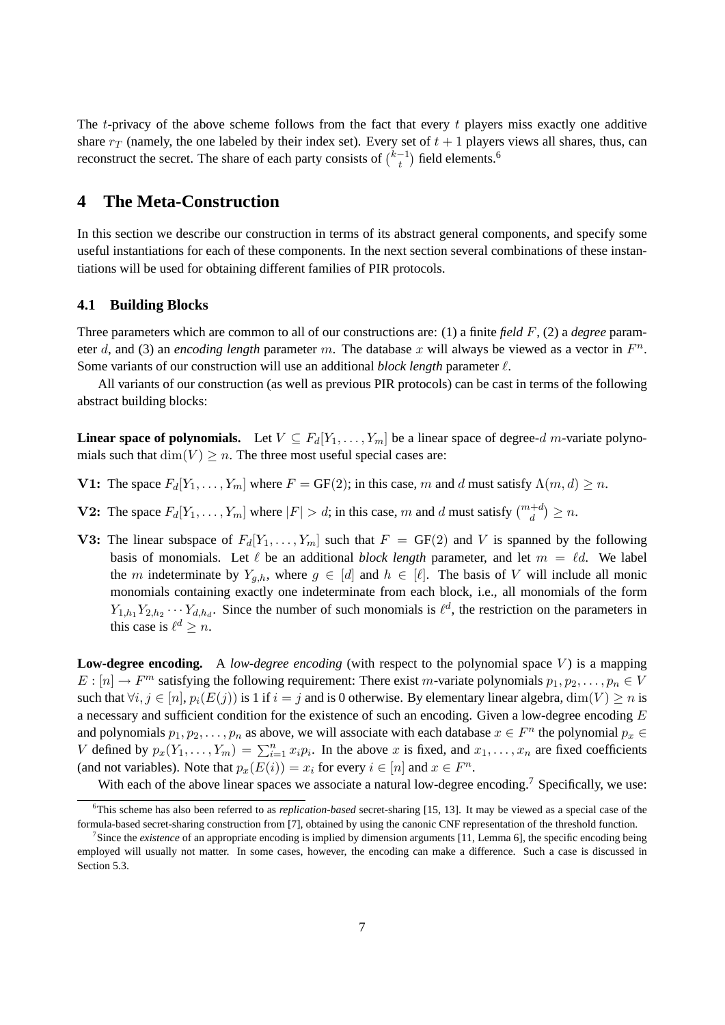The  $t$ -privacy of the above scheme follows from the fact that every  $t$  players miss exactly one additive share  $r_T$  (namely, the one labeled by their index set). Every set of  $t + 1$  players views all shares, thus, can reconstruct the secret. The share of each party consists of  $\binom{k-1}{k}$  $\binom{-1}{t}$  field elements.<sup>6</sup>

# **4 The Meta-Construction**

In this section we describe our construction in terms of its abstract general components, and specify some useful instantiations for each of these components. In the next section several combinations of these instantiations will be used for obtaining different families of PIR protocols.

## **4.1 Building Blocks**

Three parameters which are common to all of our constructions are: (1) a finite *field* F, (2) a *degree* parameter d, and (3) an *encoding length* parameter m. The database x will always be viewed as a vector in  $F<sup>n</sup>$ . Some variants of our construction will use an additional *block length* parameter  $\ell$ .

All variants of our construction (as well as previous PIR protocols) can be cast in terms of the following abstract building blocks:

**Linear space of polynomials.** Let  $V \subseteq F_d[Y_1, \ldots, Y_m]$  be a linear space of degree-d m-variate polynomials such that  $\dim(V) \geq n$ . The three most useful special cases are:

- **V1:** The space  $F_d[Y_1, \ldots, Y_m]$  where  $F = GF(2)$ ; in this case, m and d must satisfy  $\Lambda(m, d) \ge n$ .
- **V2:** The space  $F_d[Y_1, \ldots, Y_m]$  where  $|F| > d$ ; in this case, m and d must satisfy  $\binom{m+d}{d} \ge n$ .
- **V3:** The linear subspace of  $F_d[Y_1, \ldots, Y_m]$  such that  $F = GF(2)$  and V is spanned by the following basis of monomials. Let  $\ell$  be an additional *block length* parameter, and let  $m = \ell d$ . We label the m indeterminate by  $Y_{q,h}$ , where  $g \in [d]$  and  $h \in [\ell]$ . The basis of V will include all monic monomials containing exactly one indeterminate from each block, i.e., all monomials of the form  $Y_{1,h_1}Y_{2,h_2}\cdots Y_{d,h_d}$ . Since the number of such monomials is  $\ell^d$ , the restriction on the parameters in this case is  $\ell^d \geq n$ .

**Low-degree encoding.** A *low-degree encoding* (with respect to the polynomial space V) is a mapping  $E: [n] \to F^m$  satisfying the following requirement: There exist m-variate polynomials  $p_1, p_2, \ldots, p_n \in V$ such that  $\forall i, j \in [n], p_i(E(j))$  is 1 if  $i = j$  and is 0 otherwise. By elementary linear algebra,  $\dim(V) \geq n$  is a necessary and sufficient condition for the existence of such an encoding. Given a low-degree encoding E and polynomials  $p_1, p_2, \ldots, p_n$  as above, we will associate with each database  $x \in F^n$  the polynomial  $p_x \in F^n$ V defined by  $p_x(Y_1, \ldots, Y_m) = \sum_{i=1}^n x_i p_i$ . In the above x is fixed, and  $x_1, \ldots, x_n$  are fixed coefficients (and not variables). Note that  $p_x(E(i)) = x_i$  for every  $i \in [n]$  and  $x \in F^n$ .

With each of the above linear spaces we associate a natural low-degree encoding.<sup>7</sup> Specifically, we use:

<sup>6</sup>This scheme has also been referred to as *replication-based* secret-sharing [15, 13]. It may be viewed as a special case of the formula-based secret-sharing construction from [7], obtained by using the canonic CNF representation of the threshold function.

<sup>&</sup>lt;sup>7</sup> Since the *existence* of an appropriate encoding is implied by dimension arguments [11, Lemma 6], the specific encoding being employed will usually not matter. In some cases, however, the encoding can make a difference. Such a case is discussed in Section 5.3.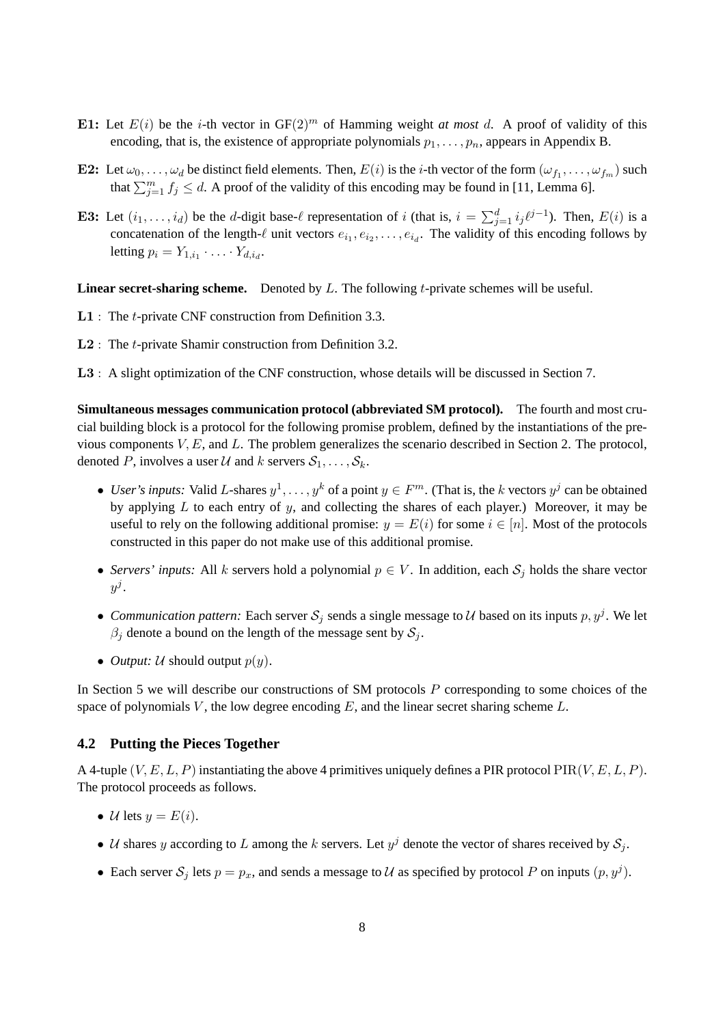- E1: Let  $E(i)$  be the *i*-th vector in  $GF(2)^m$  of Hamming weight *at most* d. A proof of validity of this encoding, that is, the existence of appropriate polynomials  $p_1, \ldots, p_n$ , appears in Appendix B.
- **E2:** Let  $\omega_0, \ldots, \omega_d$  be distinct field elements. Then,  $E(i)$  is the *i*-th vector of the form  $(\omega_{f_1}, \ldots, \omega_{f_m})$  such that  $\sum_{j=1}^{m} f_j \leq d$ . A proof of the validity of this encoding may be found in [11, Lemma 6].
- E3: Let  $(i_1, \ldots, i_d)$  be the *d*-digit base- $\ell$  representation of i (that is,  $i = \sum_{j=1}^d i_j \ell^{j-1}$ ). Then,  $E(i)$  is a concatenation of the length- $\ell$  unit vectors  $e_{i_1}, e_{i_2}, \ldots, e_{i_d}$ . The validity of this encoding follows by letting  $p_i = Y_{1,i_1} \cdot \ldots \cdot Y_{d,i_d}$ .

**Linear secret-sharing scheme.** Denoted by L. The following t-private schemes will be useful.

- L1 : The t-private CNF construction from Definition 3.3.
- **L2** : The *t*-private Shamir construction from Definition 3.2.
- L3 : A slight optimization of the CNF construction, whose details will be discussed in Section 7.

**Simultaneous messages communication protocol (abbreviated SM protocol).** The fourth and most crucial building block is a protocol for the following promise problem, defined by the instantiations of the previous components  $V, E$ , and  $L$ . The problem generalizes the scenario described in Section 2. The protocol, denoted P, involves a user U and k servers  $S_1, \ldots, S_k$ .

- *User's inputs:* Valid L-shares  $y^1, \ldots, y^k$  of a point  $y \in F^m$ . (That is, the k vectors  $y^j$  can be obtained by applying  $L$  to each entry of  $y$ , and collecting the shares of each player.) Moreover, it may be useful to rely on the following additional promise:  $y = E(i)$  for some  $i \in [n]$ . Most of the protocols constructed in this paper do not make use of this additional promise.
- *Servers' inputs:* All k servers hold a polynomial  $p \in V$ . In addition, each  $S_i$  holds the share vector  $y^j.$
- *Communication pattern:* Each server  $S_j$  sends a single message to U based on its inputs  $p, y^j$ . We let  $\beta_i$  denote a bound on the length of the message sent by  $S_j$ .
- *Output:*  $U$  should output  $p(y)$ .

In Section 5 we will describe our constructions of SM protocols  $P$  corresponding to some choices of the space of polynomials V, the low degree encoding  $E$ , and the linear secret sharing scheme  $L$ .

#### **4.2 Putting the Pieces Together**

A 4-tuple  $(V, E, L, P)$  instantiating the above 4 primitives uniquely defines a PIR protocol  $\text{PIR}(V, E, L, P)$ . The protocol proceeds as follows.

- U lets  $y = E(i)$ .
- U shares y according to L among the k servers. Let  $y^j$  denote the vector of shares received by  $S_j$ .
- Each server  $S_j$  lets  $p = p_x$ , and sends a message to U as specified by protocol P on inputs  $(p, y^j)$ .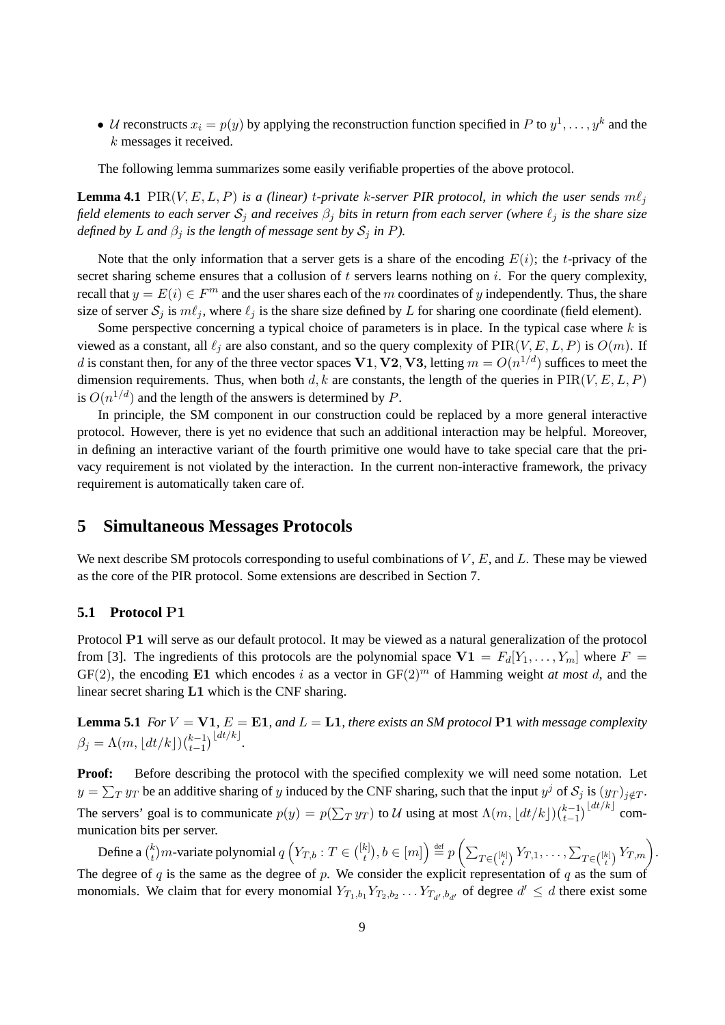• U reconstructs  $x_i = p(y)$  by applying the reconstruction function specified in P to  $y^1, \ldots, y^k$  and the k messages it received.

The following lemma summarizes some easily verifiable properties of the above protocol.

**Lemma 4.1** PIR(V, E, L, P) is a (linear) t-private k-server PIR protocol, in which the user sends  $m\ell_i$ *field elements to each server*  $S_i$  *and receives*  $\beta_i$  *bits in return from each server (where*  $\ell_i$  *is the share size defined by L* and  $\beta_i$  *is the length of message sent by*  $S_i$  *in P*).

Note that the only information that a server gets is a share of the encoding  $E(i)$ ; the t-privacy of the secret sharing scheme ensures that a collusion of t servers learns nothing on i. For the query complexity, recall that  $y = E(i) \in F<sup>m</sup>$  and the user shares each of the m coordinates of y independently. Thus, the share size of server  $S_j$  is  $m\ell_j$ , where  $\ell_j$  is the share size defined by L for sharing one coordinate (field element).

Some perspective concerning a typical choice of parameters is in place. In the typical case where  $k$  is viewed as a constant, all  $\ell_j$  are also constant, and so the query complexity of PIR(V, E, L, P) is  $O(m)$ . If d is constant then, for any of the three vector spaces  $V1, V2, V3$ , letting  $m = O(n^{1/d})$  suffices to meet the dimension requirements. Thus, when both d, k are constants, the length of the queries in  $PIR(V, E, L, P)$ is  $O(n^{1/d})$  and the length of the answers is determined by P.

In principle, the SM component in our construction could be replaced by a more general interactive protocol. However, there is yet no evidence that such an additional interaction may be helpful. Moreover, in defining an interactive variant of the fourth primitive one would have to take special care that the privacy requirement is not violated by the interaction. In the current non-interactive framework, the privacy requirement is automatically taken care of.

# **5 Simultaneous Messages Protocols**

We next describe SM protocols corresponding to useful combinations of  $V$ ,  $E$ , and  $L$ . These may be viewed as the core of the PIR protocol. Some extensions are described in Section 7.

## **5.1 Protocol** P1

Protocol P1 will serve as our default protocol. It may be viewed as a natural generalization of the protocol from [3]. The ingredients of this protocols are the polynomial space  $V1 = F_d[Y_1, \ldots, Y_m]$  where  $F =$  $GF(2)$ , the encoding E1 which encodes i as a vector in  $GF(2)^{m}$  of Hamming weight *at most* d, and the linear secret sharing L1 which is the CNF sharing.

**Lemma 5.1** *For*  $V = \textbf{V1}$ ,  $E = \textbf{E1}$ , and  $L = \textbf{L1}$ , there exists an SM protocol  $\textbf{P1}$  with message complexity  $\beta_j = \Lambda(m, \lfloor dt/k \rfloor) \binom{k-1}{t-1}$  $_{t-1}^{(dt/k)}$ .

**Proof:** Before describing the protocol with the specified complexity we will need some notation. Let  $y = \sum_T y_T$  be an additive sharing of y induced by the CNF sharing, such that the input  $y^j$  of  $\mathcal{S}_j$  is  $(y_T)_{j \notin T}$ . The servers' goal is to communicate  $p(y) = p(\sum_T y_T)$  to U using at most  $\Lambda(m, \lfloor dt/k \rfloor) \binom{k-1}{t-1}$  $\sum_{t=1}^{k-1} \frac{\lfloor dt/k \rfloor}{t}$  communication bits per server.

Define a  $\binom{k}{t}$  $\mathcal{H}_t^{(k)}$ m-variate polynomial  $q\left(Y_{T,b}:T\in\binom{[k]}{t}\right)$  $\{f_t^{(k)}\}, b\in[m]\Big)\stackrel{\scriptscriptstyle\rm def}{=} p\left(\sum_{T\in\binom{[k]}{t}} Y_{T,1},\ldots,\sum_{T\in\binom{[k]}{t}} Y_{T,m}\right).$ The degree of  $q$  is the same as the degree of  $p$ . We consider the explicit representation of  $q$  as the sum of monomials. We claim that for every monomial  $Y_{T_1,b_1} Y_{T_2,b_2} \ldots Y_{T_{d'},b_{d'}}$  of degree  $d' \le d$  there exist some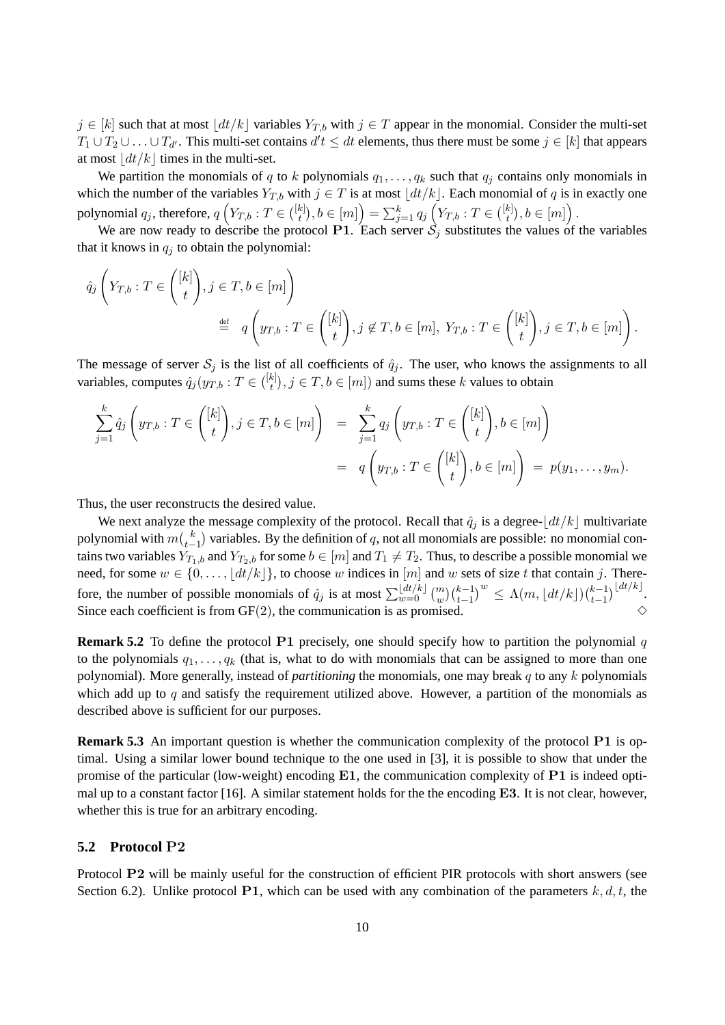$j \in [k]$  such that at most  $\vert dt/k \vert$  variables  $Y_{T,b}$  with  $j \in T$  appear in the monomial. Consider the multi-set  $T_1 \cup T_2 \cup \ldots \cup T_{d'}$ . This multi-set contains  $d't \leq dt$  elements, thus there must be some  $j \in [k]$  that appears at most  $\frac{dt}{k}$  times in the multi-set.

We partition the monomials of q to k polynomials  $q_1, \ldots, q_k$  such that  $q_j$  contains only monomials in which the number of the variables  $Y_{T,b}$  with  $j \in T$  is at most  $\left| \frac{dt}{k} \right|$ . Each monomial of q is in exactly one polynomial  $q_j$ , therefore,  $q\left(Y_{T,b}:T\in\binom{[k]}{t}\right)$  $\left[ \begin{smallmatrix} k \ t \end{smallmatrix} \right], b \in [m] \Big) = \sum_{j=1}^k q_j \left( Y_{T,b} : T \in \binom{[k]}{t} \right)$  $_{t}^{k]}),b\in\left[ m\right] \bigr)$  .

We are now ready to describe the protocol P1. Each server  $\hat{S}_j$  substitutes the values of the variables that it knows in  $q_i$  to obtain the polynomial:

$$
\hat{q}_j\left(Y_{T,b}:T\in\binom{[k]}{t},j\in T,b\in[m]\right)
$$
  
\n
$$
\stackrel{\text{def}}{=} q\left(y_{T,b}:T\in\binom{[k]}{t},j\not\in T,b\in[m], Y_{T,b}:T\in\binom{[k]}{t},j\in T,b\in[m]\right).
$$

The message of server  $S_j$  is the list of all coefficients of  $\hat{q}_j$ . The user, who knows the assignments to all variables, computes  $\hat{q}_j(y_{T,b}:T\in\binom{[k]}{t}$  $\{t^{[k]}_t\}, j \in T, b \in [m])$  and sums these k values to obtain

$$
\sum_{j=1}^{k} \hat{q}_j \left( y_{T,b} : T \in \binom{[k]}{t}, j \in T, b \in [m] \right) = \sum_{j=1}^{k} q_j \left( y_{T,b} : T \in \binom{[k]}{t}, b \in [m] \right)
$$

$$
= q \left( y_{T,b} : T \in \binom{[k]}{t}, b \in [m] \right) = p(y_1, \dots, y_m).
$$

Thus, the user reconstructs the desired value.

We next analyze the message complexity of the protocol. Recall that  $\hat{q}_i$  is a degree- $\left|dt/k\right|$  multivariate polynomial with  $m\binom{k}{t-1}$  variables. By the definition of  $q$ , not all monomials are possible: no monomial contains two variables  $Y_{T_1,b}$  and  $Y_{T_2,b}$  for some  $b \in [m]$  and  $T_1 \neq T_2$ . Thus, to describe a possible monomial we need, for some  $w \in \{0, \ldots, \lfloor dt/k \rfloor\}$ , to choose w indices in  $[m]$  and w sets of size t that contain j. Therefore, the number of possible monomials of  $\hat{q}_j$  is at most  $\sum_{w=0}^{\lfloor dt/k \rfloor} \binom{m}{w} \binom{k-1}{t-1}^w \leq \Lambda(m, \lfloor dt/k \rfloor) \binom{k-1}{t-1}$  $\sum_{t=1}^{\lfloor t/2 \rfloor}$ Since each coefficient is from  $GF(2)$ , the communication is as promised.

**Remark 5.2** To define the protocol P1 precisely, one should specify how to partition the polynomial q to the polynomials  $q_1, \ldots, q_k$  (that is, what to do with monomials that can be assigned to more than one polynomial). More generally, instead of *partitioning* the monomials, one may break q to any k polynomials which add up to  $q$  and satisfy the requirement utilized above. However, a partition of the monomials as described above is sufficient for our purposes.

**Remark 5.3** An important question is whether the communication complexity of the protocol P1 is optimal. Using a similar lower bound technique to the one used in [3], it is possible to show that under the promise of the particular (low-weight) encoding  $E1$ , the communication complexity of  $P1$  is indeed optimal up to a constant factor  $[16]$ . A similar statement holds for the the encoding **E3**. It is not clear, however, whether this is true for an arbitrary encoding.

#### **5.2 Protocol** P2

Protocol P2 will be mainly useful for the construction of efficient PIR protocols with short answers (see Section 6.2). Unlike protocol P1, which can be used with any combination of the parameters  $k, d, t$ , the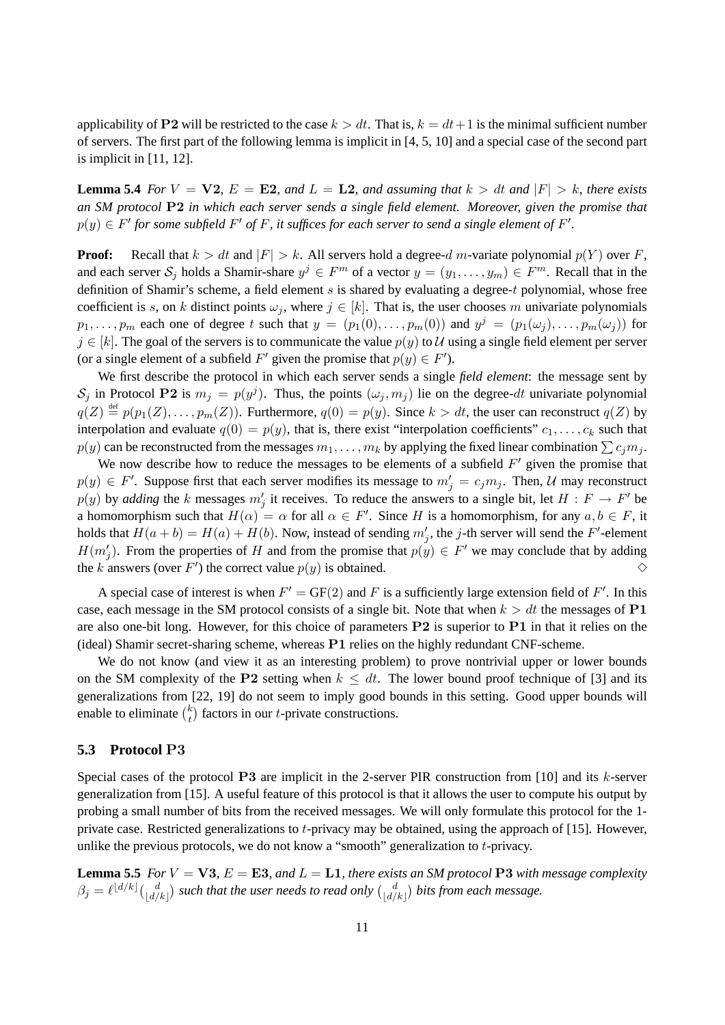applicability of P2 will be restricted to the case  $k > dt$ . That is,  $k = dt + 1$  is the minimal sufficient number of servers. The first part of the following lemma is implicit in [4, 5, 10] and a special case of the second part is implicit in  $[11, 12]$ .

**Lemma 5.4** *For*  $V = \nabla 2$ ,  $E = \mathbf{E}2$ , and  $L = \mathbf{L}2$ , and assuming that  $k > dt$  and  $|F| > k$ , there exists *an SM protocol* P2 *in which each server sends a single field element. Moreover, given the promise that*  $p(y) \in F'$  for some subfield  $F'$  of F, it suffices for each server to send a single element of  $F'.$ 

**Proof:** Recall that  $k > dt$  and  $|F| > k$ . All servers hold a degree-d m-variate polynomial  $p(Y)$  over F, and each server  $S_j$  holds a Shamir-share  $y^j \in F^m$  of a vector  $y = (y_1, \ldots, y_m) \in F^m$ . Recall that in the definition of Shamir's scheme, a field element  $s$  is shared by evaluating a degree-t polynomial, whose free coefficient is s, on k distinct points  $\omega_j$ , where  $j \in [k]$ . That is, the user chooses m univariate polynomials  $p_1, \ldots, p_m$  each one of degree t such that  $y = (p_1(0), \ldots, p_m(0))$  and  $y^j = (p_1(\omega_j), \ldots, p_m(\omega_j))$  for  $j \in [k]$ . The goal of the servers is to communicate the value  $p(y)$  to U using a single field element per server (or a single element of a subfield F' given the promise that  $p(y) \in F'$ ).

We first describe the protocol in which each server sends a single *field element*: the message sent by  $S_j$  in Protocol P2 is  $m_j = p(y^j)$ . Thus, the points  $(\omega_j, m_j)$  lie on the degree-dt univariate polynomial  $q(Z) \stackrel{\text{def}}{=} p(p_1(Z), \ldots, p_m(Z))$ . Furthermore,  $q(0) = p(y)$ . Since  $k > dt$ , the user can reconstruct  $q(Z)$  by interpolation and evaluate  $q(0) = p(y)$ , that is, there exist "interpolation coefficients"  $c_1, \ldots, c_k$  such that  $p(y)$  can be reconstructed from the messages  $m_1, \ldots, m_k$  by applying the fixed linear combination  $\sum c_i m_i$ .

We now describe how to reduce the messages to be elements of a subfield  $F'$  given the promise that  $p(y) \in F'$ . Suppose first that each server modifies its message to  $m'_j = c_j m_j$ . Then, U may reconstruct  $p(y)$  by *adding* the k messages  $m'_j$  it receives. To reduce the answers to a single bit, let  $H : F \to F'$  be a homomorphism such that  $H(\alpha) = \alpha$  for all  $\alpha \in F'$ . Since H is a homomorphism, for any  $a, b \in F$ , it holds that  $H(a + b) = H(a) + H(b)$ . Now, instead of sending  $m'_j$ , the j-th server will send the F'-element  $H(m'_j)$ . From the properties of H and from the promise that  $p(y) \in F'$  we may conclude that by adding the k answers (over F') the correct value  $p(y)$  is obtained.  $\diamond$ 

A special case of interest is when  $F' = GF(2)$  and F is a sufficiently large extension field of F'. In this case, each message in the SM protocol consists of a single bit. Note that when  $k > dt$  the messages of P1 are also one-bit long. However, for this choice of parameters  $P2$  is superior to  $P1$  in that it relies on the (ideal) Shamir secret-sharing scheme, whereas P1 relies on the highly redundant CNF-scheme.

We do not know (and view it as an interesting problem) to prove nontrivial upper or lower bounds on the SM complexity of the P2 setting when  $k \leq dt$ . The lower bound proof technique of [3] and its generalizations from [22, 19] do not seem to imply good bounds in this setting. Good upper bounds will enable to eliminate  $\binom{k}{t}$  $t<sub>t</sub><sup>k</sup>$  factors in our *t*-private constructions.

### **5.3 Protocol** P3

Special cases of the protocol P3 are implicit in the 2-server PIR construction from [10] and its  $k$ -server generalization from [15]. A useful feature of this protocol is that it allows the user to compute his output by probing a small number of bits from the received messages. We will only formulate this protocol for the 1 private case. Restricted generalizations to t-privacy may be obtained, using the approach of [15]. However, unlike the previous protocols, we do not know a "smooth" generalization to  $t$ -privacy.

**Lemma 5.5** *For*  $V = \mathbf{V3}$ ,  $E = \mathbf{E3}$ , and  $L = \mathbf{L1}$ , there exists an SM protocol P3 with message complexity  $\beta_j = \ell^{\lfloor d/k\rfloor} \binom{d}{\lfloor d/k\rfloor}$  such that the user needs to read only  $\binom{d}{\lfloor d/k\rfloor}$  bits from each message.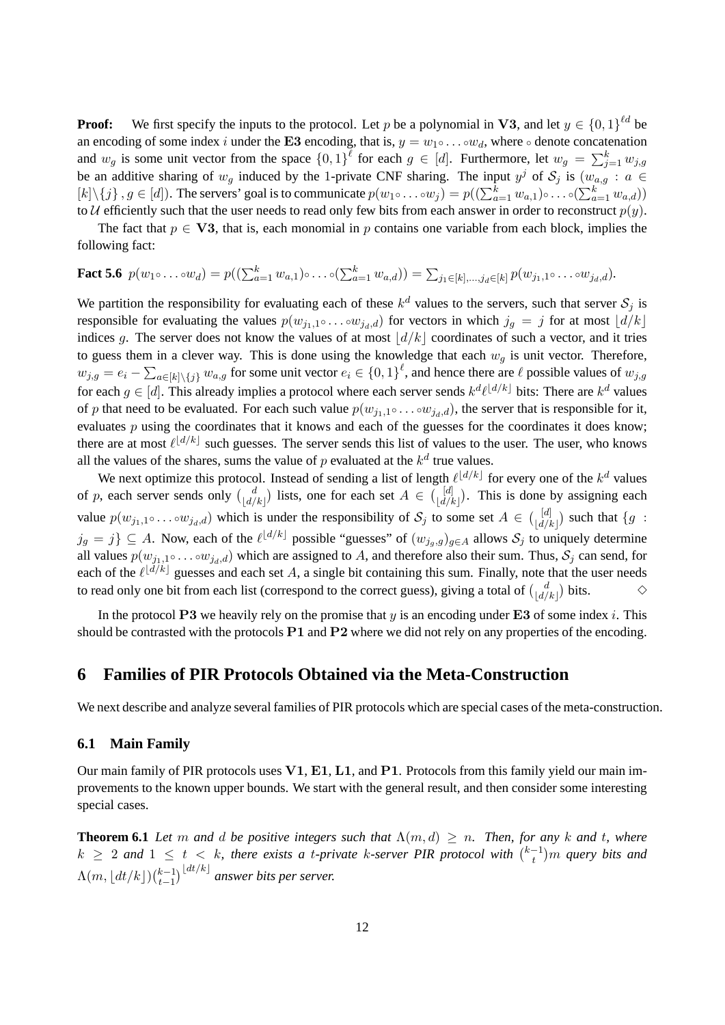**Proof:** We first specify the inputs to the protocol. Let p be a polynomial in V3, and let  $y \in \{0,1\}^{\ell d}$  be an encoding of some index i under the E3 encoding, that is,  $y = w_1 \circ \dots \circ w_d$ , where  $\circ$  denote concatenation and  $w_g$  is some unit vector from the space  $\{0,1\}^{\ell}$  for each  $g \in [d]$ . Furthermore, let  $w_g = \sum_{j=1}^k w_{j,g}$ be an additive sharing of  $w_g$  induced by the 1-private CNF sharing. The input  $y^j$  of  $\mathcal{S}_j$  is  $(w_{a,g} : a \in$  $[k]\setminus\{j\}, g \in [d]$ ). The servers' goal is to communicate  $p(w_1 \circ \ldots \circ w_j) = p((\sum_{a=1}^k w_{a,1}) \circ \ldots \circ (\sum_{a=1}^k w_{a,d}))$ to U efficiently such that the user needs to read only few bits from each answer in order to reconstruct  $p(y)$ .

The fact that  $p \in V3$ , that is, each monomial in p contains one variable from each block, implies the following fact:

# **Fact 5.6**  $p(w_1 \circ \ldots \circ w_d) = p((\sum_{a=1}^k w_{a,1}) \circ \ldots \circ (\sum_{a=1}^k w_{a,d})) = \sum_{j_1 \in [k], \ldots, j_d \in [k]} p(w_{j_1,1} \circ \ldots \circ w_{j_d,d}).$

We partition the responsibility for evaluating each of these  $k^d$  values to the servers, such that server  $S_j$  is responsible for evaluating the values  $p(w_{j_1,1} \circ \ldots \circ w_{j_d,d})$  for vectors in which  $j_g = j$  for at most  $\lfloor d/k \rfloor$ indices g. The server does not know the values of at most  $\lfloor d/k \rfloor$  coordinates of such a vector, and it tries to guess them in a clever way. This is done using the knowledge that each  $w_q$  is unit vector. Therefore,  $w_{j,g} = e_i - \sum_{a \in [k] \setminus \{j\}} w_{a,g}$  for some unit vector  $e_i \in \{0,1\}^{\ell}$ , and hence there are  $\ell$  possible values of  $w_{j,g}$ for each  $g \in [d]$ . This already implies a protocol where each server sends  $k^d \ell^{d/k}$  bits: There are  $k^d$  values of p that need to be evaluated. For each such value  $p(w_{i1,1} \circ ... \circ w_{i,d})$ , the server that is responsible for it, evaluates  $p$  using the coordinates that it knows and each of the guesses for the coordinates it does know; there are at most  $\ell^{\lfloor d/k \rfloor}$  such guesses. The server sends this list of values to the user. The user, who knows all the values of the shares, sums the value of  $p$  evaluated at the  $k^d$  true values.

We next optimize this protocol. Instead of sending a list of length  $\ell^{\lfloor d/k\rfloor}$  for every one of the  $k^d$  values of p, each server sends only  $\begin{pmatrix} d \\ \lfloor d/k \rfloor \end{pmatrix}$  lists, one for each set  $A \in \begin{pmatrix} [d] \\ \lfloor d/k \rfloor \end{pmatrix}$ . This is done by assigning each value  $p(w_{j_1,1}\circ\ldots\circ w_{j_d,d})$  which is under the responsibility of  $S_j$  to some set  $A \in \binom{[d]}{[d/k]}$  such that  $\{g :$  $j_g = j$   $\subseteq A$ . Now, each of the  $\ell^{\lfloor d/k \rfloor}$  possible "guesses" of  $(w_{j_g,g})_{g \in A}$  allows  $S_j$  to uniquely determine all values  $p(w_{j_1,1} \circ \ldots \circ w_{j_d,d})$  which are assigned to A, and therefore also their sum. Thus,  $S_j$  can send, for each of the  $\ell^{[\tilde{d}/\tilde{k}]}$  guesses and each set A, a single bit containing this sum. Finally, note that the user needs to read only one bit from each list (correspond to the correct guess), giving a total of  $\binom{d}{\lfloor d/k \rfloor}$  bits.

In the protocol P3 we heavily rely on the promise that  $y$  is an encoding under E3 of some index i. This should be contrasted with the protocols  $P1$  and  $P2$  where we did not rely on any properties of the encoding.

# **6 Families of PIR Protocols Obtained via the Meta-Construction**

We next describe and analyze several families of PIR protocols which are special cases of the meta-construction.

### **6.1 Main Family**

Our main family of PIR protocols uses V1, E1, L1, and P1. Protocols from this family yield our main improvements to the known upper bounds. We start with the general result, and then consider some interesting special cases.

**Theorem 6.1** *Let* m *and d be positive integers such that*  $\Lambda(m, d) \geq n$ *. Then, for any* k *and* t, where  $k \geq 2$  and  $1 \leq t < k$ , there exists a *t*-private k-server PIR protocol with  $\binom{k-1}{t}$  $\binom{-1}{t}$  *m* query bits and  $\Lambda(m, |dt/k|)(\substack{k-1 \\ t-1}$  $_{t-1}^{k-1})^{\lfloor dt/k\rfloor}$  answer bits per server.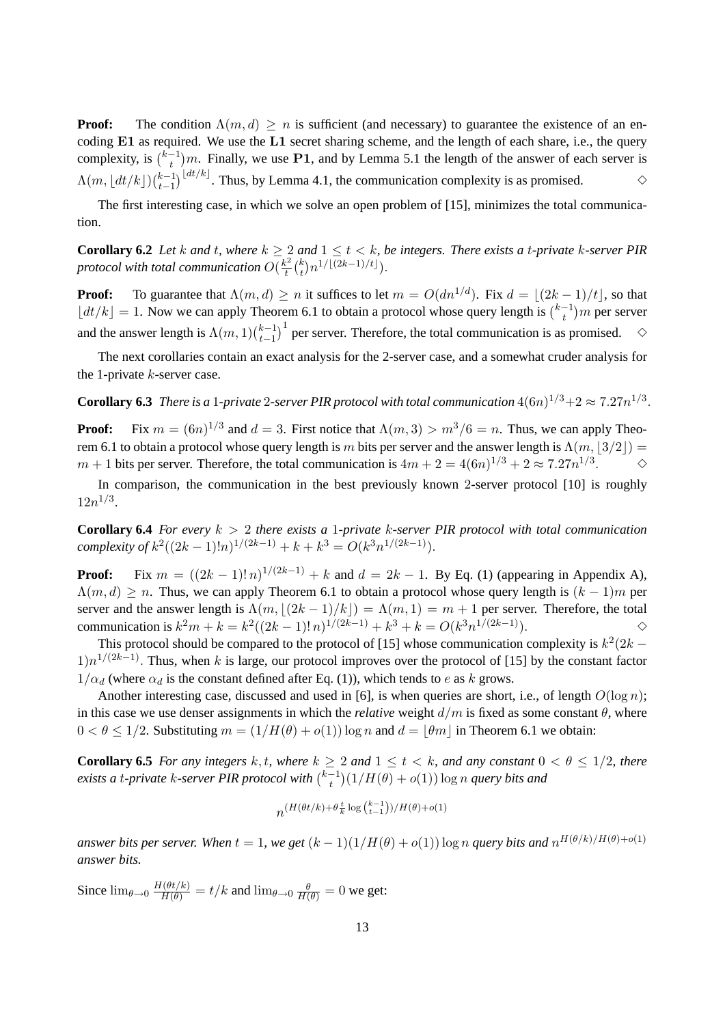**Proof:** The condition  $\Lambda(m, d) \geq n$  is sufficient (and necessary) to guarantee the existence of an encoding  $E1$  as required. We use the  $L1$  secret sharing scheme, and the length of each share, i.e., the query complexity, is  $\left(k - 1\atop 1\right)$  $(t_1^{-1})m$ . Finally, we use P1, and by Lemma 5.1 the length of the answer of each server is  $\Lambda(m, |dt/k|)(\substack{k-1 \\ t-1}$  $\sum_{t=1}^{k-1} \left\lfloor \frac{dt/k}{t} \right\rfloor$ . Thus, by Lemma 4.1, the communication complexity is as promised. <br>←

The first interesting case, in which we solve an open problem of [15], minimizes the total communication.

**Corollary 6.2** Let k and t, where  $k \geq 2$  and  $1 \leq t < k$ , be integers. There exists a t-private k-server PIR protocol with total communication  $O(\frac{k^2}{t})$  $\frac{x^2}{t}\binom{k}{t}$  $_{t}^{k})n^{1/\lfloor (2k-1)/t\rfloor}).$ 

**Proof:** To guarantee that  $\Lambda(m, d) \ge n$  it suffices to let  $m = O(dn^{1/d})$ . Fix  $d = \lfloor (2k - 1)/t \rfloor$ , so that  $|dt/k| = 1$ . Now we can apply Theorem 6.1 to obtain a protocol whose query length is  $\binom{k-1}{t}$  $\binom{-1}{t}$ m per server and the answer length is  $\Lambda(m, 1)$  $\binom{k-1}{k-1}$  $\binom{k-1}{t-1}$ <sup>1</sup> per server. Therefore, the total communication is as promised.  $\diamond$ 

The next corollaries contain an exact analysis for the 2-server case, and a somewhat cruder analysis for the 1-private  $k$ -server case.

**Corollary 6.3** *There is a 1-private 2-server PIR protocol with total communication*  $4(6n)^{1/3}+2 \approx 7.27n^{1/3}$ .

**Proof:** Fix  $m = (6n)^{1/3}$  and  $d = 3$ . First notice that  $\Lambda(m, 3) > m^3/6 = n$ . Thus, we can apply Theorem 6.1 to obtain a protocol whose query length is m bits per server and the answer length is  $\Lambda(m, \frac{3}{2})=$  $m + 1$  bits per server. Therefore, the total communication is  $4m + 2 = 4(6n)^{1/3} + 2 \approx 7.27n^{1/3}$  $\Diamond$ 

In comparison, the communication in the best previously known 2-server protocol [10] is roughly  $12n^{1/3}$ .

**Corollary 6.4** *For every* k > 2 *there exists a* 1*-private* k*-server PIR protocol with total communication*  $complexity of k^2((2k-1)!n)^{1/(2k-1)} + k + k^3 = O(k^3n^{1/(2k-1)}).$ 

**Proof:** Fix  $m = ((2k - 1)!n)^{1/(2k-1)} + k$  and  $d = 2k - 1$ . By Eq. (1) (appearing in Appendix A),  $\Lambda(m, d) \geq n$ . Thus, we can apply Theorem 6.1 to obtain a protocol whose query length is  $(k - 1)m$  per server and the answer length is  $\Lambda(m, |(2k-1)/k|) = \Lambda(m, 1) = m + 1$  per server. Therefore, the total communication is  $k^2m + k = k^2((2k-1)!n)^{1/(2k-1)} + k^3 + k = O(k^3n^{1/(2k-1)})$ .

This protocol should be compared to the protocol of [15] whose communication complexity is  $k^2(2k - 1)$  $1\frac{n^{1}{(2k-1)}}$ . Thus, when k is large, our protocol improves over the protocol of [15] by the constant factor  $1/\alpha_d$  (where  $\alpha_d$  is the constant defined after Eq. (1)), which tends to e as k grows.

Another interesting case, discussed and used in [6], is when queries are short, i.e., of length  $O(\log n)$ ; in this case we use denser assignments in which the *relative* weight  $d/m$  is fixed as some constant  $\theta$ , where  $0 < \theta \le 1/2$ . Substituting  $m = (1/H(\theta) + o(1)) \log n$  and  $d = |\theta m|$  in Theorem 6.1 we obtain:

**Corollary 6.5** *For any integers* k, t, where  $k \geq 2$  *and*  $1 \leq t \leq k$ , *and any constant*  $0 \leq \theta \leq 1/2$ , *there*  $\frac{1}{k+1}$  *exists a t-private* k-server PIR protocol with  $\frac{k-1}{k+1}$  $\int_{t}^{-1}$  $(1/H(\theta) + o(1)) \log n$  *query bits and* 

$$
n^{(H(\theta t/k) + \theta \frac{t}{k} \log {k-1 \choose t-1})/H(\theta) + o(1)}
$$

*answer bits per server. When*  $t = 1$ , we get  $(k-1)(1/H(\theta) + o(1))$  log n query bits and  $n^{H(\theta/k)/H(\theta)+o(1)}$ *answer bits.*

Since  $\lim_{\theta \to 0} \frac{H(\theta t/k)}{H(\theta)} = t/k$  and  $\lim_{\theta \to 0} \frac{\theta}{H(\theta)} = 0$  we get: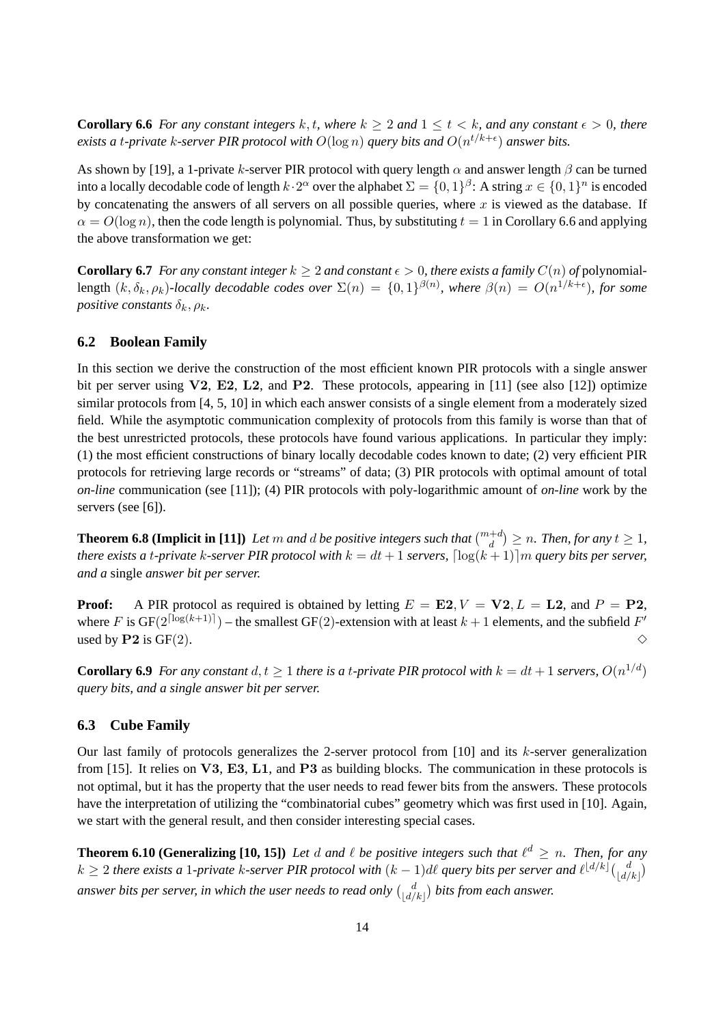**Corollary 6.6** *For any constant integers* k, t, where  $k \geq 2$  *and*  $1 \leq t \leq k$ , *and any constant*  $\epsilon > 0$ , *there* exists a t-private  $k$ -server PIR protocol with  $O(\log n)$  query bits and  $O(n^{t/k+\epsilon})$  answer bits.

As shown by [19], a 1-private k-server PIR protocol with query length  $\alpha$  and answer length  $\beta$  can be turned into a locally decodable code of length  $k \cdot 2^{\alpha}$  over the alphabet  $\Sigma = \{0,1\}^{\beta}$ : A string  $x \in \{0,1\}^n$  is encoded by concatenating the answers of all servers on all possible queries, where  $x$  is viewed as the database. If  $\alpha = O(\log n)$ , then the code length is polynomial. Thus, by substituting  $t = 1$  in Corollary 6.6 and applying the above transformation we get:

**Corollary 6.7** *For any constant integer*  $k \geq 2$  *and constant*  $\epsilon > 0$ *, there exists a family*  $C(n)$  *of* polynomiallength  $(k, \delta_k, \rho_k)$ -locally decodable codes over  $\Sigma(n) = \{0,1\}^{\beta(n)}$ , where  $\beta(n) = O(n^{1/k+\epsilon})$ , for some *positive constants*  $\delta_k$ ,  $\rho_k$ .

## **6.2 Boolean Family**

In this section we derive the construction of the most efficient known PIR protocols with a single answer bit per server using  $V2$ , E2, L2, and P2. These protocols, appearing in [11] (see also [12]) optimize similar protocols from [4, 5, 10] in which each answer consists of a single element from a moderately sized field. While the asymptotic communication complexity of protocols from this family is worse than that of the best unrestricted protocols, these protocols have found various applications. In particular they imply: (1) the most efficient constructions of binary locally decodable codes known to date; (2) very efficient PIR protocols for retrieving large records or "streams" of data; (3) PIR protocols with optimal amount of total *on-line* communication (see [11]); (4) PIR protocols with poly-logarithmic amount of *on-line* work by the servers (see [6]).

**Theorem 6.8 (Implicit in [11])** Let m and d be positive integers such that  $\binom{m+d}{d} \ge n$ . Then, for any  $t \ge 1$ , *there exists a t-private k-server PIR protocol with*  $k = dt + 1$  *servers,*  $\lceil \log(k + 1) \rceil m$  *query bits per server, and a* single *answer bit per server.*

**Proof:** A PIR protocol as required is obtained by letting  $E = \mathbf{E2}$ ,  $V = \mathbf{V2}$ ,  $L = \mathbf{L2}$ , and  $P = \mathbf{P2}$ , where F is GF( $2^{\lceil \log(k+1) \rceil}$ ) – the smallest GF(2)-extension with at least  $k+1$  elements, and the subfield  $F'$ used by P2 is GF(2).  $\Diamond$ 

**Corollary 6.9** For any constant  $d, t \geq 1$  there is a t-private PIR protocol with  $k = dt + 1$  servers,  $O(n^{1/d})$ *query bits, and a single answer bit per server.*

## **6.3 Cube Family**

Our last family of protocols generalizes the 2-server protocol from  $[10]$  and its k-server generalization from [15]. It relies on  $V3$ , E3, L1, and P3 as building blocks. The communication in these protocols is not optimal, but it has the property that the user needs to read fewer bits from the answers. These protocols have the interpretation of utilizing the "combinatorial cubes" geometry which was first used in [10]. Again, we start with the general result, and then consider interesting special cases.

**Theorem 6.10 (Generalizing [10, 15])** Let  $d$  and  $\ell$  be positive integers such that  $\ell^d \ge n$ . Then, for any  $k \geq 2$  there exists a 1-private k-server PIR protocol with  $(k-1)$ dl query bits per server and  $\ell^{\lfloor d/k\rfloor} \binom{d}{\lfloor d/k\rfloor}$ answer bits per server, in which the user needs to read only  $\binom{d}{\lfloor d/k \rfloor}$  bits from each answer.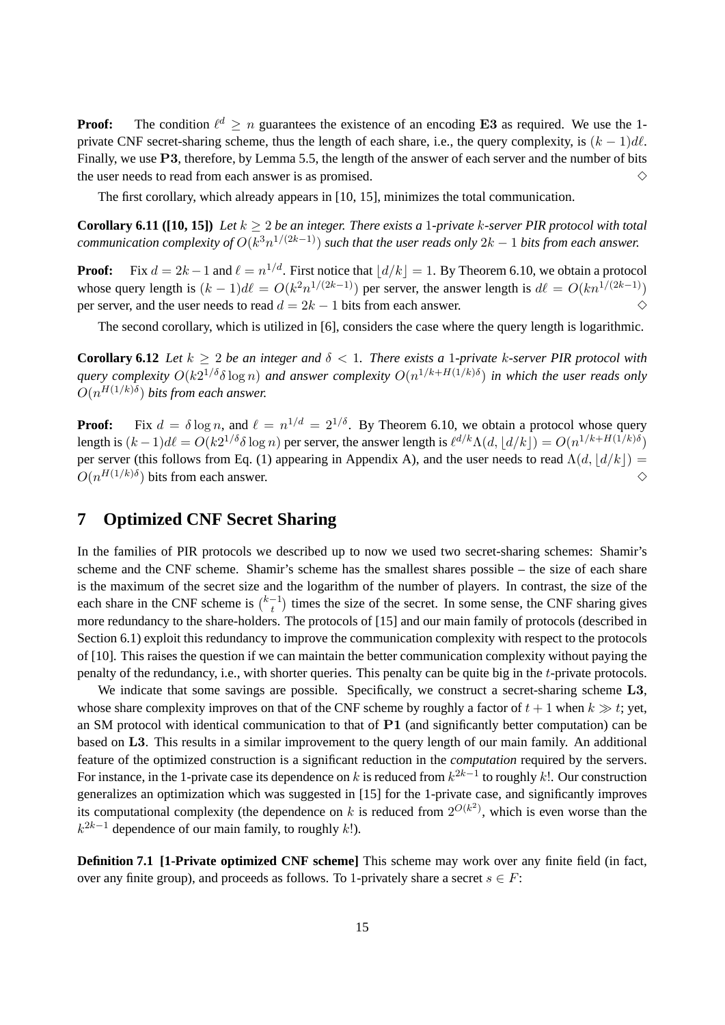**Proof:** The condition  $\ell^d \geq n$  guarantees the existence of an encoding E3 as required. We use the 1private CNF secret-sharing scheme, thus the length of each share, i.e., the query complexity, is  $(k - 1)d\ell$ . Finally, we use P3, therefore, by Lemma 5.5, the length of the answer of each server and the number of bits the user needs to read from each answer is as promised.  $\Diamond$ 

The first corollary, which already appears in [10, 15], minimizes the total communication.

**Corollary 6.11 ([10, 15])** Let  $k \geq 2$  be an integer. There exists a 1-private k-server PIR protocol with total  ${\it communication complexity of } O(k^3n^{1/(2k-1)})$  *such that the user reads only*  $2k-1$  *bits from each answer.* 

**Proof:** Fix  $d = 2k - 1$  and  $\ell = n^{1/d}$ . First notice that  $\left| d/k \right| = 1$ . By Theorem 6.10, we obtain a protocol whose query length is  $(k-1)d\ell = O(k^2n^{1/(2k-1)})$  per server, the answer length is  $d\ell = O(kn^{1/(2k-1)})$ per server, and the user needs to read  $d = 2k - 1$  bits from each answer.  $\diamond$ 

The second corollary, which is utilized in [6], considers the case where the query length is logarithmic.

**Corollary 6.12** *Let*  $k > 2$  *be an integer and*  $\delta < 1$ *. There exists a 1-private k-server PIR protocol with*  $q$ uery complexity  $O(k2^{1/\delta}\delta\log n)$  and answer complexity  $O(n^{1/k+H(1/k)\delta})$  in which the user reads only  $O(n^{H(1/k)\delta})$  bits from each answer.

**Proof:** Fix  $d = \delta \log n$ , and  $\ell = n^{1/d} = 2^{1/\delta}$ . By Theorem 6.10, we obtain a protocol whose query length is  $(k-1)d\ell = O(k2^{1/\delta}\delta\log n)$  per server, the answer length is  $\ell^{d/k}\Lambda(d, |d/k|) = O(n^{1/k + H(1/k)\delta})$ per server (this follows from Eq. (1) appearing in Appendix A), and the user needs to read  $\Lambda(d, d/k)$  =  $O(n^{H(1/k)\delta})$  bits from each answer.  $\diamond$ 

# **7 Optimized CNF Secret Sharing**

In the families of PIR protocols we described up to now we used two secret-sharing schemes: Shamir's scheme and the CNF scheme. Shamir's scheme has the smallest shares possible – the size of each share is the maximum of the secret size and the logarithm of the number of players. In contrast, the size of the each share in the CNF scheme is  $\binom{k-1}{t}$  $t_t^{-1}$ ) times the size of the secret. In some sense, the CNF sharing gives more redundancy to the share-holders. The protocols of [15] and our main family of protocols (described in Section 6.1) exploit this redundancy to improve the communication complexity with respect to the protocols of [10]. This raises the question if we can maintain the better communication complexity without paying the penalty of the redundancy, i.e., with shorter queries. This penalty can be quite big in the t-private protocols.

We indicate that some savings are possible. Specifically, we construct a secret-sharing scheme L3, whose share complexity improves on that of the CNF scheme by roughly a factor of  $t + 1$  when  $k \gg t$ ; yet, an SM protocol with identical communication to that of P1 (and significantly better computation) can be based on L3. This results in a similar improvement to the query length of our main family. An additional feature of the optimized construction is a significant reduction in the *computation* required by the servers. For instance, in the 1-private case its dependence on k is reduced from  $k^{2k-1}$  to roughly k!. Our construction generalizes an optimization which was suggested in [15] for the 1-private case, and significantly improves its computational complexity (the dependence on k is reduced from  $2^{O(k^2)}$ , which is even worse than the  $k^{2k-1}$  dependence of our main family, to roughly k!).

**Definition 7.1 [1-Private optimized CNF scheme]** This scheme may work over any finite field (in fact, over any finite group), and proceeds as follows. To 1-privately share a secret  $s \in F$ :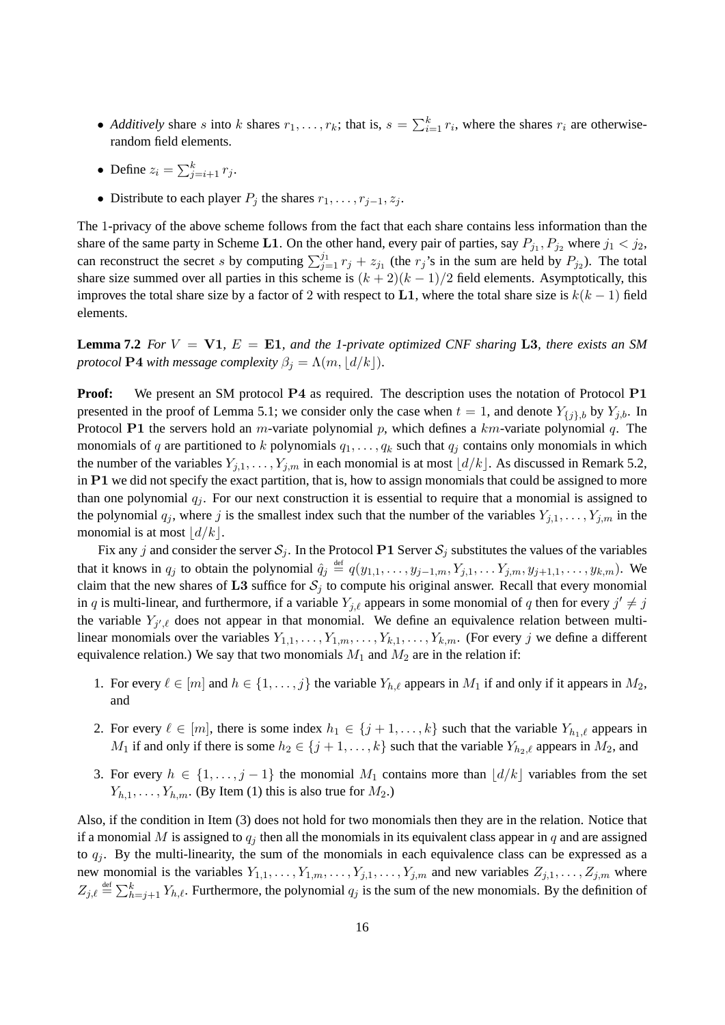- *Additively* share s into k shares  $r_1, \ldots, r_k$ ; that is,  $s = \sum_{i=1}^k r_i$ , where the shares  $r_i$  are otherwiserandom field elements.
- Define  $z_i = \sum_{j=i+1}^{k} r_j$ .
- Distribute to each player  $P_j$  the shares  $r_1, \ldots, r_{j-1}, z_j$ .

The 1-privacy of the above scheme follows from the fact that each share contains less information than the share of the same party in Scheme L1. On the other hand, every pair of parties, say  $P_{j_1}, P_{j_2}$  where  $j_1 < j_2$ , can reconstruct the secret s by computing  $\sum_{j=1}^{j_1} r_j + z_{j_1}$  (the  $r_j$ 's in the sum are held by  $P_{j_2}$ ). The total share size summed over all parties in this scheme is  $(k + 2)(k - 1)/2$  field elements. Asymptotically, this improves the total share size by a factor of 2 with respect to L1, where the total share size is  $k(k-1)$  field elements.

**Lemma 7.2** For  $V = \mathbf{V1}$ ,  $E = \mathbf{E1}$ , and the 1-private optimized CNF sharing L3, there exists an SM *protocol* **P4** *with message complexity*  $\beta_j = \Lambda(m, \lfloor d/k \rfloor)$ *.* 

**Proof:** We present an SM protocol P4 as required. The description uses the notation of Protocol P1 presented in the proof of Lemma 5.1; we consider only the case when  $t = 1$ , and denote  $Y_{\{i\},b}$  by  $Y_{j,b}$ . In Protocol P1 the servers hold an m-variate polynomial p, which defines a  $km$ -variate polynomial q. The monomials of q are partitioned to k polynomials  $q_1, \ldots, q_k$  such that  $q_j$  contains only monomials in which the number of the variables  $Y_{j,1}, \ldots, Y_{j,m}$  in each monomial is at most  $\lfloor d/k \rfloor$ . As discussed in Remark 5.2, in  $P1$  we did not specify the exact partition, that is, how to assign monomials that could be assigned to more than one polynomial  $q_i$ . For our next construction it is essential to require that a monomial is assigned to the polynomial  $q_j$ , where j is the smallest index such that the number of the variables  $Y_{j,1}, \ldots, Y_{j,m}$  in the monomial is at most  $\lfloor d/k \rfloor$ .

Fix any j and consider the server  $S_j$ . In the Protocol P1 Server  $S_j$  substitutes the values of the variables that it knows in  $q_j$  to obtain the polynomial  $\hat{q}_j \stackrel{\text{def}}{=} q(y_{1,1},\ldots,y_{j-1,m},Y_{j,1},\ldots,Y_{j,m},y_{j+1,1},\ldots,y_{k,m})$ . We claim that the new shares of L3 suffice for  $S_j$  to compute his original answer. Recall that every monomial in q is multi-linear, and furthermore, if a variable  $Y_{j,\ell}$  appears in some monomial of q then for every  $j' \neq j$ the variable  $Y_{j',\ell}$  does not appear in that monomial. We define an equivalence relation between multilinear monomials over the variables  $Y_{1,1}, \ldots, Y_{1,m}, \ldots, Y_{k,1}, \ldots, Y_{k,m}$ . (For every j we define a different equivalence relation.) We say that two monomials  $M_1$  and  $M_2$  are in the relation if:

- 1. For every  $\ell \in [m]$  and  $h \in \{1, \ldots, j\}$  the variable  $Y_{h,\ell}$  appears in  $M_1$  if and only if it appears in  $M_2$ , and
- 2. For every  $\ell \in [m]$ , there is some index  $h_1 \in \{j+1,\ldots,k\}$  such that the variable  $Y_{h_1,\ell}$  appears in  $M_1$  if and only if there is some  $h_2 \in \{j+1,\ldots,k\}$  such that the variable  $Y_{h_2,\ell}$  appears in  $M_2$ , and
- 3. For every  $h \in \{1, \ldots, j-1\}$  the monomial  $M_1$  contains more than  $\vert d/k \vert$  variables from the set  $Y_{h,1}, \ldots, Y_{h,m}$ . (By Item (1) this is also true for  $M_2$ .)

Also, if the condition in Item (3) does not hold for two monomials then they are in the relation. Notice that if a monomial M is assigned to  $q_i$  then all the monomials in its equivalent class appear in q and are assigned to  $q_i$ . By the multi-linearity, the sum of the monomials in each equivalence class can be expressed as a new monomial is the variables  $Y_{1,1}, \ldots, Y_{1,m}, \ldots, Y_{j,1}, \ldots, Y_{j,m}$  and new variables  $Z_{j,1}, \ldots, Z_{j,m}$  where  $Z_{j,\ell} \stackrel{\text{def}}{=} \sum_{h=j+1}^{k} Y_{h,\ell}$ . Furthermore, the polynomial  $q_j$  is the sum of the new monomials. By the definition of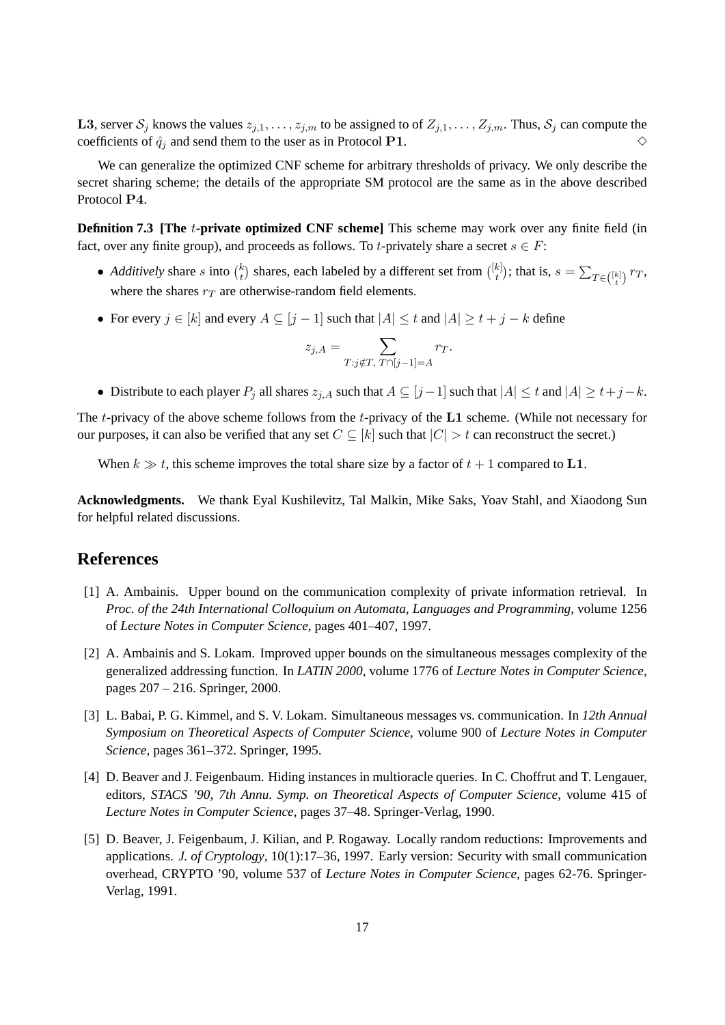**L3**, server  $S_j$  knows the values  $z_{j,1}, \ldots, z_{j,m}$  to be assigned to of  $Z_{j,1}, \ldots, Z_{j,m}$ . Thus,  $S_j$  can compute the coefficients of  $\hat{q}_i$  and send them to the user as in Protocol P1.  $\diamond$ 

We can generalize the optimized CNF scheme for arbitrary thresholds of privacy. We only describe the secret sharing scheme; the details of the appropriate SM protocol are the same as in the above described Protocol P4.

**Definition 7.3 [The t-private optimized CNF scheme]** This scheme may work over any finite field (in fact, over any finite group), and proceeds as follows. To t-privately share a secret  $s \in F$ :

- *Additively* share *s* into  $\binom{k}{t}$  $\left\{ \frac{k}{t} \right\}$  shares, each labeled by a different set from  $\left( \frac{[k]}{t} \right)$  $\binom{k}{t}$ ; that is,  $s = \sum_{T \in \binom{[k]}{t}} r_T$ , where the shares  $r_T$  are otherwise-random field elements.
- For every  $j \in [k]$  and every  $A \subseteq [j-1]$  such that  $|A| \le t$  and  $|A| \ge t + j k$  define

$$
z_{j,A} = \sum_{T:j \notin T, T \cap [j-1]=A} r_T.
$$

• Distribute to each player  $P_i$  all shares  $z_{i,A}$  such that  $A \subseteq [j-1]$  such that  $|A| \le t$  and  $|A| \ge t+j-k$ .

The  $t$ -privacy of the above scheme follows from the  $t$ -privacy of the  $L1$  scheme. (While not necessary for our purposes, it can also be verified that any set  $C \subseteq [k]$  such that  $|C| > t$  can reconstruct the secret.)

When  $k \gg t$ , this scheme improves the total share size by a factor of  $t + 1$  compared to L1.

**Acknowledgments.** We thank Eyal Kushilevitz, Tal Malkin, Mike Saks, Yoav Stahl, and Xiaodong Sun for helpful related discussions.

## **References**

- [1] A. Ambainis. Upper bound on the communication complexity of private information retrieval. In *Proc. of the 24th International Colloquium on Automata, Languages and Programming*, volume 1256 of *Lecture Notes in Computer Science*, pages 401–407, 1997.
- [2] A. Ambainis and S. Lokam. Improved upper bounds on the simultaneous messages complexity of the generalized addressing function. In *LATIN 2000*, volume 1776 of *Lecture Notes in Computer Science*, pages 207 – 216. Springer, 2000.
- [3] L. Babai, P. G. Kimmel, and S. V. Lokam. Simultaneous messages vs. communication. In *12th Annual Symposium on Theoretical Aspects of Computer Science*, volume 900 of *Lecture Notes in Computer Science*, pages 361–372. Springer, 1995.
- [4] D. Beaver and J. Feigenbaum. Hiding instances in multioracle queries. In C. Choffrut and T. Lengauer, editors, *STACS '90, 7th Annu. Symp. on Theoretical Aspects of Computer Science*, volume 415 of *Lecture Notes in Computer Science*, pages 37–48. Springer-Verlag, 1990.
- [5] D. Beaver, J. Feigenbaum, J. Kilian, and P. Rogaway. Locally random reductions: Improvements and applications. *J. of Cryptology*, 10(1):17–36, 1997. Early version: Security with small communication overhead, CRYPTO '90, volume 537 of *Lecture Notes in Computer Science*, pages 62-76. Springer-Verlag, 1991.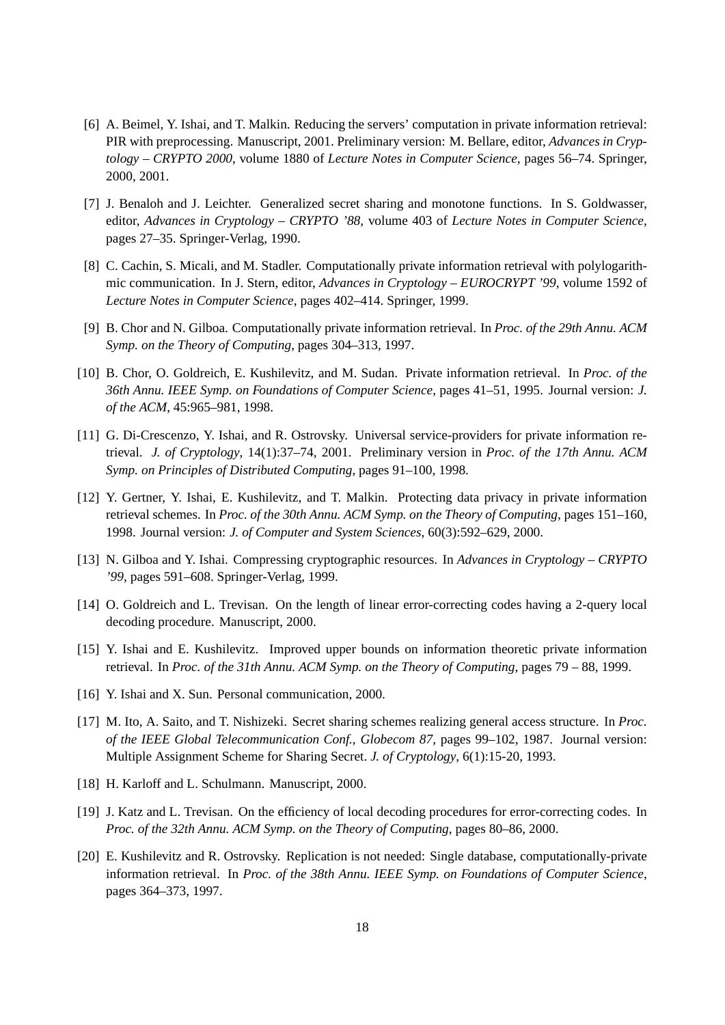- [6] A. Beimel, Y. Ishai, and T. Malkin. Reducing the servers' computation in private information retrieval: PIR with preprocessing. Manuscript, 2001. Preliminary version: M. Bellare, editor, *Advances in Cryptology – CRYPTO 2000*, volume 1880 of *Lecture Notes in Computer Science*, pages 56–74. Springer, 2000, 2001.
- [7] J. Benaloh and J. Leichter. Generalized secret sharing and monotone functions. In S. Goldwasser, editor, *Advances in Cryptology – CRYPTO '88*, volume 403 of *Lecture Notes in Computer Science*, pages 27–35. Springer-Verlag, 1990.
- [8] C. Cachin, S. Micali, and M. Stadler. Computationally private information retrieval with polylogarithmic communication. In J. Stern, editor, *Advances in Cryptology – EUROCRYPT '99*, volume 1592 of *Lecture Notes in Computer Science*, pages 402–414. Springer, 1999.
- [9] B. Chor and N. Gilboa. Computationally private information retrieval. In *Proc. of the 29th Annu. ACM Symp. on the Theory of Computing*, pages 304–313, 1997.
- [10] B. Chor, O. Goldreich, E. Kushilevitz, and M. Sudan. Private information retrieval. In *Proc. of the 36th Annu. IEEE Symp. on Foundations of Computer Science*, pages 41–51, 1995. Journal version: *J. of the ACM*, 45:965–981, 1998.
- [11] G. Di-Crescenzo, Y. Ishai, and R. Ostrovsky. Universal service-providers for private information retrieval. *J. of Cryptology*, 14(1):37–74, 2001. Preliminary version in *Proc. of the 17th Annu. ACM Symp. on Principles of Distributed Computing*, pages 91–100, 1998.
- [12] Y. Gertner, Y. Ishai, E. Kushilevitz, and T. Malkin. Protecting data privacy in private information retrieval schemes. In *Proc. of the 30th Annu. ACM Symp. on the Theory of Computing*, pages 151–160, 1998. Journal version: *J. of Computer and System Sciences*, 60(3):592–629, 2000.
- [13] N. Gilboa and Y. Ishai. Compressing cryptographic resources. In *Advances in Cryptology CRYPTO '99*, pages 591–608. Springer-Verlag, 1999.
- [14] O. Goldreich and L. Trevisan. On the length of linear error-correcting codes having a 2-query local decoding procedure. Manuscript, 2000.
- [15] Y. Ishai and E. Kushilevitz. Improved upper bounds on information theoretic private information retrieval. In *Proc. of the 31th Annu. ACM Symp. on the Theory of Computing*, pages 79 – 88, 1999.
- [16] Y. Ishai and X. Sun. Personal communication, 2000.
- [17] M. Ito, A. Saito, and T. Nishizeki. Secret sharing schemes realizing general access structure. In *Proc. of the IEEE Global Telecommunication Conf., Globecom 87*, pages 99–102, 1987. Journal version: Multiple Assignment Scheme for Sharing Secret. *J. of Cryptology*, 6(1):15-20, 1993.
- [18] H. Karloff and L. Schulmann. Manuscript, 2000.
- [19] J. Katz and L. Trevisan. On the efficiency of local decoding procedures for error-correcting codes. In *Proc. of the 32th Annu. ACM Symp. on the Theory of Computing*, pages 80–86, 2000.
- [20] E. Kushilevitz and R. Ostrovsky. Replication is not needed: Single database, computationally-private information retrieval. In *Proc. of the 38th Annu. IEEE Symp. on Foundations of Computer Science*, pages 364–373, 1997.